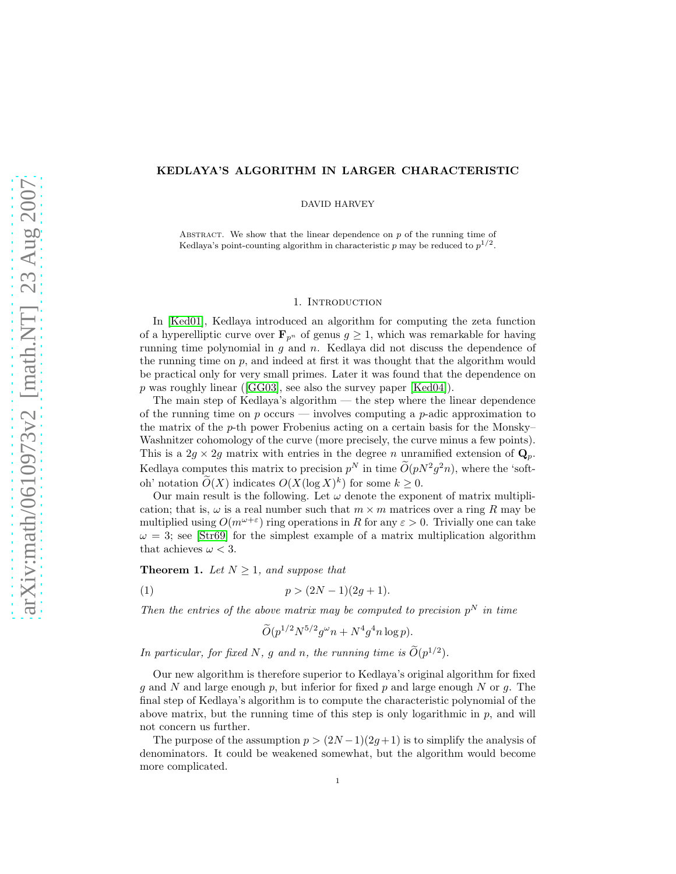# KEDLAYA'S ALGORITHM IN LARGER CHARACTERISTIC

DAVID HARVEY

ABSTRACT. We show that the linear dependence on  $p$  of the running time of Kedlaya's point-counting algorithm in characteristic p may be reduced to  $p^{1/2}$ .

#### 1. INTRODUCTION

In [\[Ked01\]](#page-20-0), Kedlaya introduced an algorithm for computing the zeta function of a hyperelliptic curve over  $\mathbf{F}_{p^n}$  of genus  $g \geq 1$ , which was remarkable for having running time polynomial in  $g$  and  $n$ . Kedlaya did not discuss the dependence of the running time on  $p$ , and indeed at first it was thought that the algorithm would be practical only for very small primes. Later it was found that the dependence on  $p$  was roughly linear ([\[GG03\]](#page-20-1), see also the survey paper [\[Ked04\]](#page-20-2)).

The main step of Kedlaya's algorithm — the step where the linear dependence of the running time on  $p$  occurs — involves computing a  $p$ -adic approximation to the matrix of the p-th power Frobenius acting on a certain basis for the Monsky– Washnitzer cohomology of the curve (more precisely, the curve minus a few points). This is a  $2g \times 2g$  matrix with entries in the degree n unramified extension of  $\mathbf{Q}_p$ . Kedlaya computes this matrix to precision  $p^N$  in time  $O(pN^2g^2n)$ , where the 'softoh' notation  $O(X)$  indicates  $O(X(\log X)^k)$  for some  $k \geq 0$ .

Our main result is the following. Let  $\omega$  denote the exponent of matrix multiplication; that is,  $\omega$  is a real number such that  $m \times m$  matrices over a ring R may be multiplied using  $O(m^{\omega+\varepsilon})$  ring operations in R for any  $\varepsilon > 0$ . Trivially one can take  $\omega = 3$ ; see [\[Str69\]](#page-20-3) for the simplest example of a matrix multiplication algorithm that achieves  $\omega < 3$ .

<span id="page-0-1"></span>**Theorem 1.** Let  $N \geq 1$ , and suppose that

(1) 
$$
p > (2N-1)(2g+1).
$$

Then the entries of the above matrix may be computed to precision  $p^N$  in time

<span id="page-0-0"></span>
$$
\widetilde{O}(p^{1/2}N^{5/2}g^{\omega}n + N^4g^4n\log p).
$$

In particular, for fixed N, g and n, the running time is  $\tilde{O}(p^{1/2})$ .

Our new algorithm is therefore superior to Kedlaya's original algorithm for fixed q and N and large enough p, but inferior for fixed p and large enough N or q. The final step of Kedlaya's algorithm is to compute the characteristic polynomial of the above matrix, but the running time of this step is only logarithmic in  $p$ , and will not concern us further.

The purpose of the assumption  $p > (2N-1)(2g+1)$  is to simplify the analysis of denominators. It could be weakened somewhat, but the algorithm would become more complicated.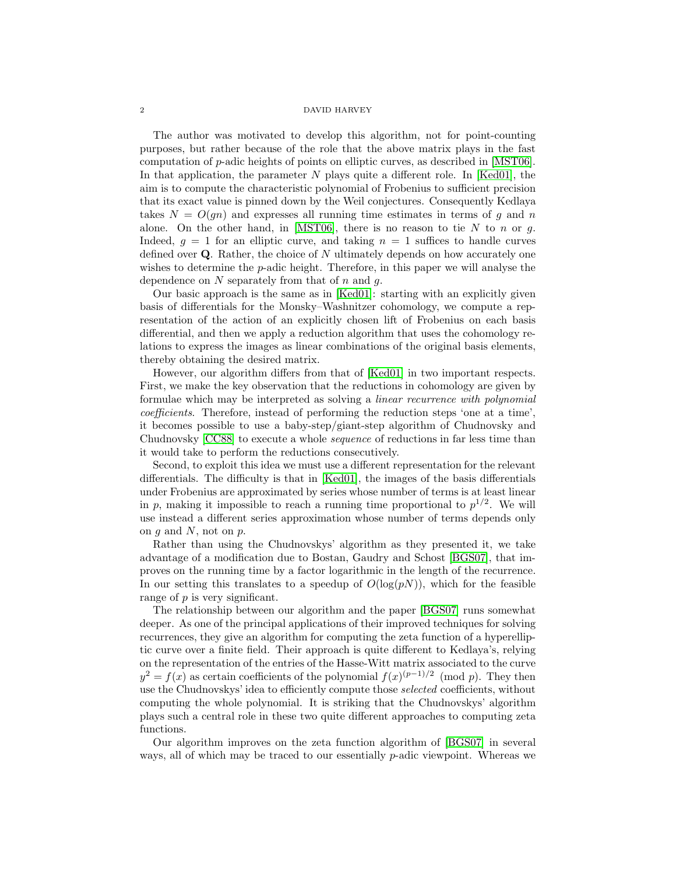The author was motivated to develop this algorithm, not for point-counting purposes, but rather because of the role that the above matrix plays in the fast computation of p-adic heights of points on elliptic curves, as described in [\[MST06\]](#page-20-4). In that application, the parameter  $N$  plays quite a different role. In [\[Ked01\]](#page-20-0), the aim is to compute the characteristic polynomial of Frobenius to sufficient precision that its exact value is pinned down by the Weil conjectures. Consequently Kedlaya takes  $N = O(qn)$  and expresses all running time estimates in terms of q and n alone. On the other hand, in [\[MST06\]](#page-20-4), there is no reason to tie N to n or g. Indeed,  $g = 1$  for an elliptic curve, and taking  $n = 1$  suffices to handle curves defined over  $Q$ . Rather, the choice of  $N$  ultimately depends on how accurately one wishes to determine the p-adic height. Therefore, in this paper we will analyse the dependence on  $N$  separately from that of  $n$  and  $q$ .

Our basic approach is the same as in  $Ked01$ : starting with an explicitly given basis of differentials for the Monsky–Washnitzer cohomology, we compute a representation of the action of an explicitly chosen lift of Frobenius on each basis differential, and then we apply a reduction algorithm that uses the cohomology relations to express the images as linear combinations of the original basis elements, thereby obtaining the desired matrix.

However, our algorithm differs from that of [\[Ked01\]](#page-20-0) in two important respects. First, we make the key observation that the reductions in cohomology are given by formulae which may be interpreted as solving a linear recurrence with polynomial coefficients. Therefore, instead of performing the reduction steps 'one at a time', it becomes possible to use a baby-step/giant-step algorithm of Chudnovsky and Chudnovsky [\[CC88\]](#page-20-5) to execute a whole sequence of reductions in far less time than it would take to perform the reductions consecutively.

Second, to exploit this idea we must use a different representation for the relevant differentials. The difficulty is that in [\[Ked01\]](#page-20-0), the images of the basis differentials under Frobenius are approximated by series whose number of terms is at least linear in p, making it impossible to reach a running time proportional to  $p^{1/2}$ . We will use instead a different series approximation whose number of terms depends only on  $g$  and  $N$ , not on  $p$ .

Rather than using the Chudnovskys' algorithm as they presented it, we take advantage of a modification due to Bostan, Gaudry and Schost [\[BGS07\]](#page-20-6), that improves on the running time by a factor logarithmic in the length of the recurrence. In our setting this translates to a speedup of  $O(log(pN))$ , which for the feasible range of p is very significant.

The relationship between our algorithm and the paper [\[BGS07\]](#page-20-6) runs somewhat deeper. As one of the principal applications of their improved techniques for solving recurrences, they give an algorithm for computing the zeta function of a hyperelliptic curve over a finite field. Their approach is quite different to Kedlaya's, relying on the representation of the entries of the Hasse-Witt matrix associated to the curve  $y^2 = f(x)$  as certain coefficients of the polynomial  $f(x)^{(p-1)/2} \pmod{p}$ . They then use the Chudnovskys' idea to efficiently compute those selected coefficients, without computing the whole polynomial. It is striking that the Chudnovskys' algorithm plays such a central role in these two quite different approaches to computing zeta functions.

Our algorithm improves on the zeta function algorithm of [\[BGS07\]](#page-20-6) in several ways, all of which may be traced to our essentially p-adic viewpoint. Whereas we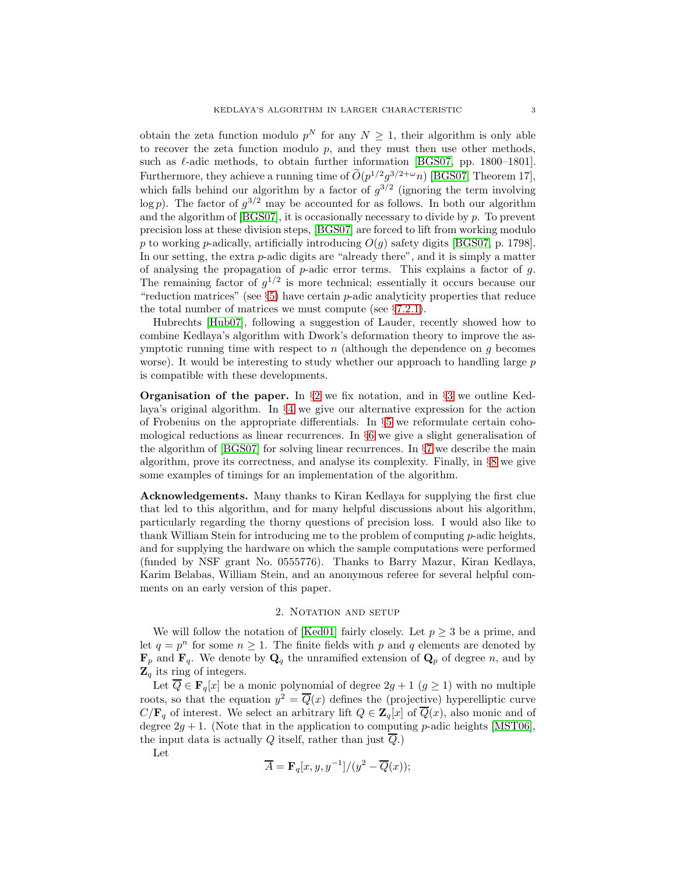obtain the zeta function modulo  $p^N$  for any  $N \geq 1$ , their algorithm is only able to recover the zeta function modulo  $p$ , and they must then use other methods, such as  $\ell$ -adic methods, to obtain further information [\[BGS07,](#page-20-6) pp. 1800–1801]. Furthermore, they achieve a running time of  $O(p^{1/2}g^{3/2+\omega}n)$  [\[BGS07,](#page-20-6) Theorem 17], which falls behind our algorithm by a factor of  $g^{3/2}$  (ignoring the term involving  $\log p$ ). The factor of  $g^{3/2}$  may be accounted for as follows. In both our algorithm and the algorithm of  $[BGS07]$ , it is occasionally necessary to divide by p. To prevent precision loss at these division steps, [\[BGS07\]](#page-20-6) are forced to lift from working modulo p to working p-adically, artificially introducing  $O(g)$  safety digits [\[BGS07,](#page-20-6) p. 1798]. In our setting, the extra  $p$ -adic digits are "already there", and it is simply a matter of analysing the propagation of  $p$ -adic error terms. This explains a factor of  $q$ . The remaining factor of  $g^{1/2}$  is more technical; essentially it occurs because our "reduction matrices" (see  $\S5$ ) have certain p-adic analyticity properties that reduce the total number of matrices we must compute (see §[7.2.1\)](#page-11-0).

Hubrechts [\[Hub07\]](#page-20-7), following a suggestion of Lauder, recently showed how to combine Kedlaya's algorithm with Dwork's deformation theory to improve the asymptotic running time with respect to  $n$  (although the dependence on  $q$  becomes worse). It would be interesting to study whether our approach to handling large  $p$ is compatible with these developments.

**Organisation of the paper.** In  $\S 2$  $\S 2$  we fix notation, and in  $\S 3$  $\S 3$  we outline Kedlaya's original algorithm. In §[4](#page-4-0) we give our alternative expression for the action of Frobenius on the appropriate differentials. In §[5](#page-5-0) we reformulate certain cohomological reductions as linear recurrences. In §[6](#page-8-0) we give a slight generalisation of the algorithm of [\[BGS07\]](#page-20-6) for solving linear recurrences. In §[7](#page-10-0) we describe the main algorithm, prove its correctness, and analyse its complexity. Finally, in §[8](#page-18-0) we give some examples of timings for an implementation of the algorithm.

Acknowledgements. Many thanks to Kiran Kedlaya for supplying the first clue that led to this algorithm, and for many helpful discussions about his algorithm, particularly regarding the thorny questions of precision loss. I would also like to thank William Stein for introducing me to the problem of computing  $p$ -adic heights, and for supplying the hardware on which the sample computations were performed (funded by NSF grant No. 0555776). Thanks to Barry Mazur, Kiran Kedlaya, Karim Belabas, William Stein, and an anonymous referee for several helpful comments on an early version of this paper.

# 2. NOTATION AND SETUP

<span id="page-2-0"></span>We will follow the notation of [\[Ked01\]](#page-20-0) fairly closely. Let  $p \geq 3$  be a prime, and let  $q = p^n$  for some  $n \ge 1$ . The finite fields with p and q elements are denoted by  $\mathbf{F}_p$  and  $\mathbf{F}_q$ . We denote by  $\mathbf{Q}_q$  the unramified extension of  $\mathbf{Q}_p$  of degree n, and by  $\mathbf{Z}_q$  its ring of integers.

Let  $\overline{Q} \in \mathbf{F}_q[x]$  be a monic polynomial of degree  $2g + 1$   $(g \ge 1)$  with no multiple roots, so that the equation  $y^2 = \overline{Q}(x)$  defines the (projective) hyperelliptic curve  $C/\mathbf{F}_q$  of interest. We select an arbitrary lift  $Q \in \mathbf{Z}_q[x]$  of  $\overline{Q}(x)$ , also monic and of degree  $2g + 1$ . (Note that in the application to computing p-adic heights [\[MST06\]](#page-20-4), the input data is actually Q itself, rather than just  $\overline{Q}$ .)

Let

$$
\overline{A} = \mathbf{F}_q[x, y, y^{-1}]/(y^2 - \overline{Q}(x));
$$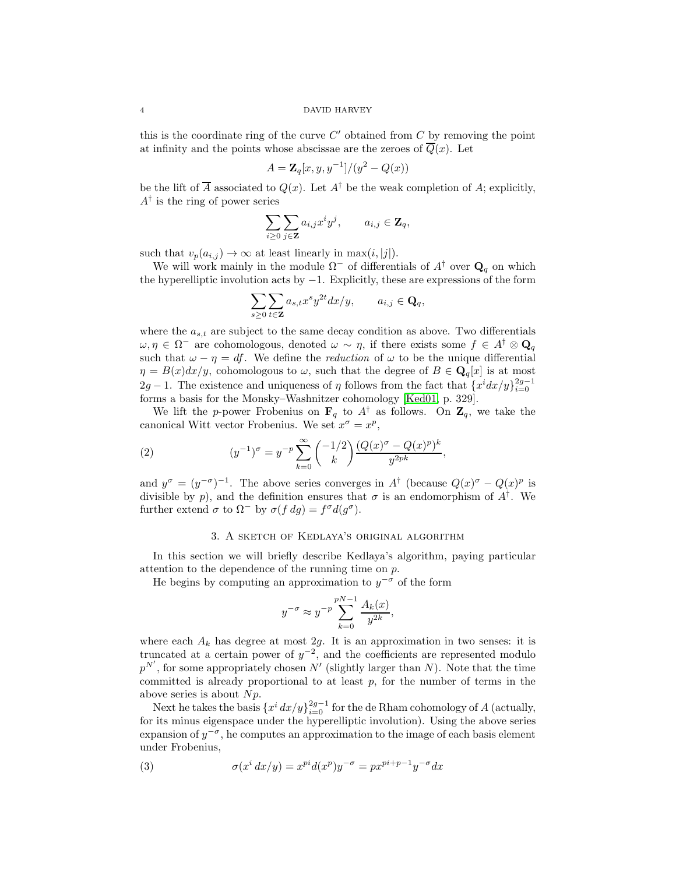this is the coordinate ring of the curve  $C'$  obtained from  $C$  by removing the point at infinity and the points whose abscissae are the zeroes of  $\overline{Q}(x)$ . Let

$$
A = \mathbf{Z}_q[x, y, y^{-1}]/(y^2 - Q(x))
$$

be the lift of  $\overline{A}$  associated to  $Q(x)$ . Let  $A^{\dagger}$  be the weak completion of A; explicitly,  $A^{\dagger}$  is the ring of power series

$$
\sum_{i\geq 0}\sum_{j\in \mathbf{Z}}a_{i,j}x^iy^j, \qquad a_{i,j}\in \mathbf{Z}_q,
$$

such that  $v_p(a_{i,j}) \to \infty$  at least linearly in max $(i, j|)$ .

We will work mainly in the module  $\Omega^-$  of differentials of  $A^{\dagger}$  over  $\mathbf{Q}_q$  on which the hyperelliptic involution acts by −1. Explicitly, these are expressions of the form

$$
\sum_{s\geq 0}\sum_{t\in {\bf Z}}a_{s,t}x^sy^{2t}dx/y, \qquad a_{i,j}\in {\bf Q}_q,
$$

where the  $a_{s,t}$  are subject to the same decay condition as above. Two differentials  $\omega, \eta \in \Omega^-$  are cohomologous, denoted  $\omega \sim \eta$ , if there exists some  $f \in A^{\dagger} \otimes \mathbf{Q}_q$ such that  $\omega - \eta = df$ . We define the *reduction* of  $\omega$  to be the unique differential  $\eta = B(x)dx/y$ , cohomologous to  $\omega$ , such that the degree of  $B \in \mathbf{Q}_q[x]$  is at most 2g − 1. The existence and uniqueness of  $\eta$  follows from the fact that  $\{x^i dx/y\}_{i=0}^{2g-1}$ forms a basis for the Monsky–Washnitzer cohomology [\[Ked01,](#page-20-0) p. 329].

We lift the p-power Frobenius on  $\mathbf{F}_q$  to  $A^{\dagger}$  as follows. On  $\mathbf{Z}_q$ , we take the canonical Witt vector Frobenius. We set  $x^{\sigma} = x^p$ ,

(2) 
$$
(y^{-1})^{\sigma} = y^{-p} \sum_{k=0}^{\infty} {\binom{-1/2}{k}} \frac{(Q(x)^{\sigma} - Q(x)^{p})^k}{y^{2pk}},
$$

and  $y^{\sigma} = (y^{-\sigma})^{-1}$ . The above series converges in  $A^{\dagger}$  (because  $Q(x)^{\sigma} - Q(x)^{p}$  is divisible by p), and the definition ensures that  $\sigma$  is an endomorphism of  $A^{\dagger}$ . We further extend  $\sigma$  to  $\Omega^-$  by  $\sigma(f\,dg) = f^\sigma d(g^\sigma)$ .

# <span id="page-3-1"></span>3. A sketch of Kedlaya's original algorithm

<span id="page-3-0"></span>In this section we will briefly describe Kedlaya's algorithm, paying particular attention to the dependence of the running time on p.

He begins by computing an approximation to  $y^{-\sigma}$  of the form

$$
y^{-\sigma} \approx y^{-p} \sum_{k=0}^{pN-1} \frac{A_k(x)}{y^{2k}},
$$

where each  $A_k$  has degree at most 2g. It is an approximation in two senses: it is truncated at a certain power of  $y^{-2}$ , and the coefficients are represented modulo  $p^{N'}$ , for some appropriately chosen  $N'$  (slightly larger than N). Note that the time committed is already proportional to at least  $p$ , for the number of terms in the above series is about  $Np$ .

Next he takes the basis  $\{x^i dx/y\}_{i=0}^{2g-1}$  for the de Rham cohomology of A (actually, for its minus eigenspace under the hyperelliptic involution). Using the above series expansion of  $y^{-\sigma}$ , he computes an approximation to the image of each basis element under Frobenius,

<span id="page-3-2"></span>(3) 
$$
\sigma(x^i dx/y) = x^{pi}(x^p)y^{-\sigma} = px^{pi+p-1}y^{-\sigma}dx
$$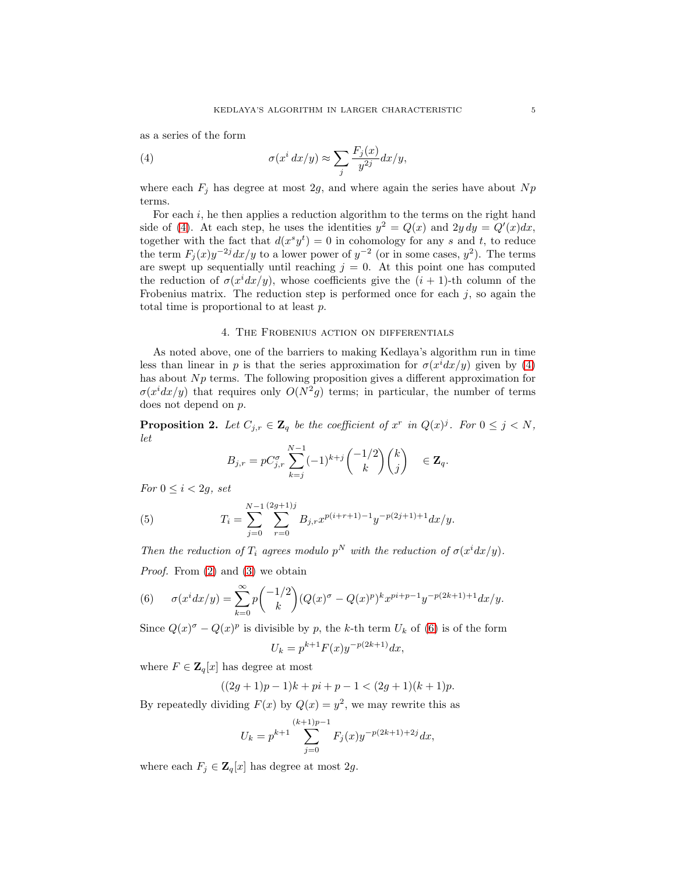as a series of the form

<span id="page-4-1"></span>(4) 
$$
\sigma(x^i dx/y) \approx \sum_j \frac{F_j(x)}{y^{2j}} dx/y,
$$

where each  $F_i$  has degree at most 2g, and where again the series have about Np terms.

For each  $i$ , he then applies a reduction algorithm to the terms on the right hand side of [\(4\)](#page-4-1). At each step, he uses the identities  $y^2 = Q(x)$  and  $2y dy = Q'(x)dx$ , together with the fact that  $d(x^s y^t) = 0$  in cohomology for any s and t, to reduce the term  $F_j(x)y^{-2j}dx/y$  to a lower power of  $y^{-2}$  (or in some cases,  $y^2$ ). The terms are swept up sequentially until reaching  $j = 0$ . At this point one has computed the reduction of  $\sigma(x^i dx/y)$ , whose coefficients give the  $(i + 1)$ -th column of the Frobenius matrix. The reduction step is performed once for each  $j$ , so again the total time is proportional to at least p.

## 4. The Frobenius action on differentials

<span id="page-4-0"></span>As noted above, one of the barriers to making Kedlaya's algorithm run in time less than linear in p is that the series approximation for  $\sigma(x^i dx/y)$  given by [\(4\)](#page-4-1) has about  $Np$  terms. The following proposition gives a different approximation for  $\sigma(x^i dx/y)$  that requires only  $O(N^2g)$  terms; in particular, the number of terms does not depend on p.

<span id="page-4-3"></span>**Proposition 2.** Let  $C_{j,r} \in \mathbb{Z}_q$  be the coefficient of  $x^r$  in  $Q(x)^j$ . For  $0 \leq j \leq N$ , let

$$
B_{j,r} = pC_{j,r}^{\sigma} \sum_{k=j}^{N-1} (-1)^{k+j} \binom{-1/2}{k} \binom{k}{j} \in \mathbf{Z}_q.
$$

For  $0 \leq i < 2g$ , set

(5) 
$$
T_i = \sum_{j=0}^{N-1} \sum_{r=0}^{(2g+1)j} B_{j,r} x^{p(i+r+1)-1} y^{-p(2j+1)+1} dx/y.
$$

Then the reduction of  $T_i$  agrees modulo  $p^N$  with the reduction of  $\sigma(x^idx/y)$ .

Proof. From [\(2\)](#page-3-1) and [\(3\)](#page-3-2) we obtain

<span id="page-4-2"></span>(6) 
$$
\sigma(x^i dx/y) = \sum_{k=0}^{\infty} p \binom{-1/2}{k} (Q(x)^{\sigma} - Q(x)^p)^k x^{pi+p-1} y^{-p(2k+1)+1} dx/y.
$$

Since  $Q(x)^{\sigma} - Q(x)^{p}$  is divisible by p, the k-th term  $U_k$  of [\(6\)](#page-4-2) is of the form

$$
U_k = p^{k+1} F(x) y^{-p(2k+1)} dx,
$$

where  $F \in \mathbf{Z}_q[x]$  has degree at most

$$
((2g+1)p-1)k + pi + p - 1 < (2g+1)(k+1)p.
$$

By repeatedly dividing  $F(x)$  by  $Q(x) = y^2$ , we may rewrite this as

$$
U_k = p^{k+1} \sum_{j=0}^{(k+1)p-1} F_j(x) y^{-p(2k+1)+2j} dx,
$$

where each  $F_j \in \mathbf{Z}_q[x]$  has degree at most 2g.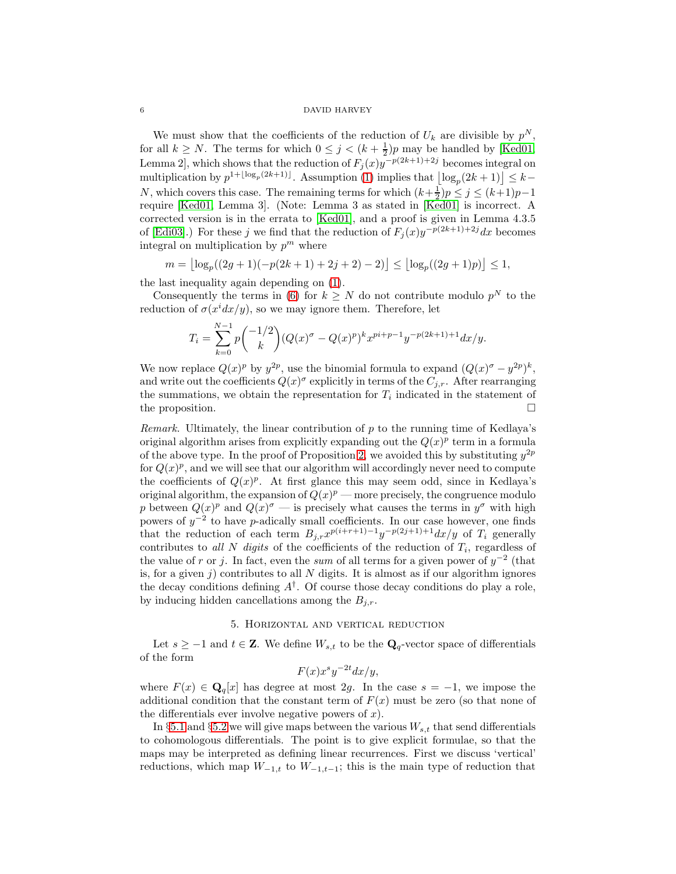We must show that the coefficients of the reduction of  $U_k$  are divisible by  $p^N$ , for all  $k \geq N$ . The terms for which  $0 \leq j \leq (k + \frac{1}{2})p$  may be handled by [\[Ked01,](#page-20-0) Lemma 2], which shows that the reduction of  $F_j(x)y^{-p(2k+1)+2j}$  becomes integral on multiplication by  $p^{1+\lfloor \log_p(2k+1)\rfloor}$ . Assumption [\(1\)](#page-0-0) implies that  $\lfloor \log_p(2k+1)\rfloor \leq k-1$ N, which covers this case. The remaining terms for which  $(k+\frac{1}{2})p \leq j \leq (k+1)p-1$ require [\[Ked01,](#page-20-0) Lemma 3]. (Note: Lemma 3 as stated in [\[Ked01\]](#page-20-0) is incorrect. A corrected version is in the errata to [\[Ked01\]](#page-20-0), and a proof is given in Lemma 4.3.5 of [\[Edi03\]](#page-20-8).) For these j we find that the reduction of  $F_j(x)y^{-p(2k+1)+2j}dx$  becomes integral on multiplication by  $p^m$  where

$$
m = \left\lfloor \log_p((2g+1)(-p(2k+1)+2j+2)-2) \right\rfloor \le \left\lfloor \log_p((2g+1)p) \right\rfloor \le 1,
$$

the last inequality again depending on [\(1\)](#page-0-0).

Consequently the terms in [\(6\)](#page-4-2) for  $k \geq N$  do not contribute modulo  $p^N$  to the reduction of  $\sigma(x^i dx/y)$ , so we may ignore them. Therefore, let

$$
T_i = \sum_{k=0}^{N-1} p \binom{-1/2}{k} (Q(x)^{\sigma} - Q(x)^p)^k x^{pi+p-1} y^{-p(2k+1)+1} dx/y.
$$

We now replace  $Q(x)^p$  by  $y^{2p}$ , use the binomial formula to expand  $(Q(x)^{\sigma} - y^{2p})^k$ , and write out the coefficients  $Q(x)^\sigma$  explicitly in terms of the  $C_{j,r}$ . After rearranging the summations, we obtain the representation for  $T_i$  indicated in the statement of the proposition.

*Remark.* Ultimately, the linear contribution of  $p$  to the running time of Kedlaya's original algorithm arises from explicitly expanding out the  $Q(x)^p$  term in a formula of the above type. In the proof of Proposition [2,](#page-4-3) we avoided this by substituting  $y^{2p}$ for  $Q(x)^p$ , and we will see that our algorithm will accordingly never need to compute the coefficients of  $Q(x)^p$ . At first glance this may seem odd, since in Kedlaya's original algorithm, the expansion of  $Q(x)^p$  — more precisely, the congruence modulo p between  $Q(x)^p$  and  $Q(x)^{\sigma}$  — is precisely what causes the terms in  $y^{\sigma}$  with high powers of  $y^{-2}$  to have p-adically small coefficients. In our case however, one finds that the reduction of each term  $B_{j,r}x^{p(i+r+1)-1}y^{-p(2j+1)+1}dx/y$  of  $T_i$  generally contributes to all N digits of the coefficients of the reduction of  $T_i$ , regardless of the value of r or j. In fact, even the sum of all terms for a given power of  $y^{-2}$  (that is, for a given j) contributes to all  $N$  digits. It is almost as if our algorithm ignores the decay conditions defining  $A^{\dagger}$ . Of course those decay conditions do play a role, by inducing hidden cancellations among the  $B_{j,r}$ .

## 5. Horizontal and vertical reduction

<span id="page-5-0"></span>Let  $s \geq -1$  and  $t \in \mathbf{Z}$ . We define  $W_{s,t}$  to be the  $\mathbf{Q}_q$ -vector space of differentials of the form

$$
F(x)x^s y^{-2t} dx/y,
$$

where  $F(x) \in \mathbf{Q}_q[x]$  has degree at most 2g. In the case  $s = -1$ , we impose the additional condition that the constant term of  $F(x)$  must be zero (so that none of the differentials ever involve negative powers of  $x$ ).

In §[5.1](#page-6-0) and §[5.2](#page-7-0) we will give maps between the various  $W_{s,t}$  that send differentials to cohomologous differentials. The point is to give explicit formulae, so that the maps may be interpreted as defining linear recurrences. First we discuss 'vertical' reductions, which map  $W_{-1,t}$  to  $W_{-1,t-1}$ ; this is the main type of reduction that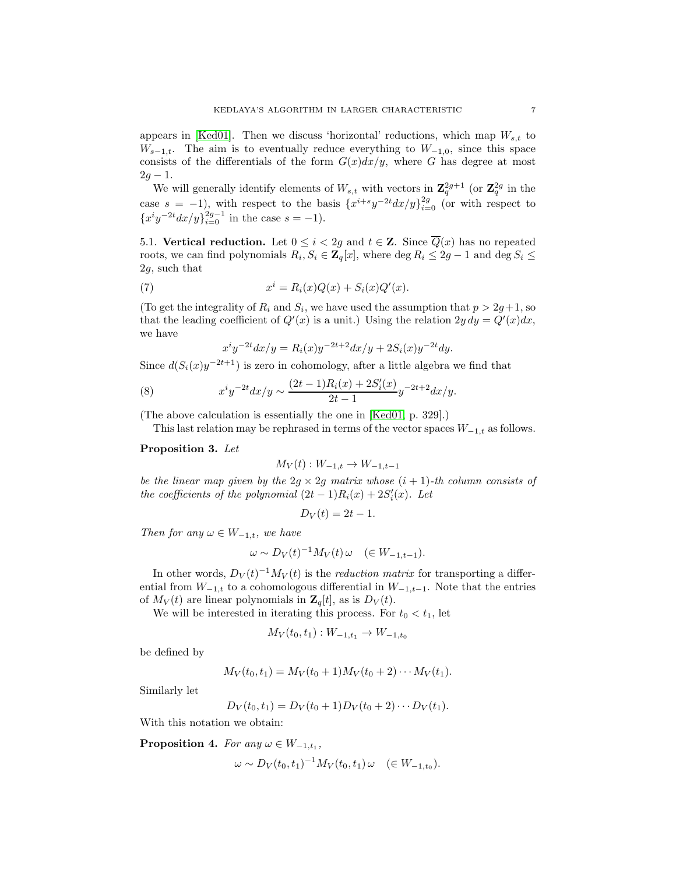appears in [\[Ked01\]](#page-20-0). Then we discuss 'horizontal' reductions, which map  $W_{s,t}$  to  $W_{s-1,t}$ . The aim is to eventually reduce everything to  $W_{-1,0}$ , since this space consists of the differentials of the form  $G(x)dx/y$ , where G has degree at most  $2g - 1$ .

We will generally identify elements of  $W_{s,t}$  with vectors in  $\mathbb{Z}_q^{2g+1}$  (or  $\mathbb{Z}_q^{2g}$  in the case  $s = -1$ , with respect to the basis  $\{x^{i+s}y^{-2t}dx/y\}_{i=0}^{2g}$  (or with respect to  ${x^i y^{-2t} dx/y}_{i=0}^{2g-1}$  in the case  $s = -1$ ).

<span id="page-6-0"></span>5.1. Vertical reduction. Let  $0 \leq i < 2g$  and  $t \in \mathbb{Z}$ . Since  $\overline{Q}(x)$  has no repeated roots, we can find polynomials  $R_i, S_i \in \mathbb{Z}_q[x]$ , where  $\deg R_i \leq 2g - 1$  and  $\deg S_i \leq$ 2g, such that

(7) 
$$
x^{i} = R_{i}(x)Q(x) + S_{i}(x)Q'(x).
$$

(To get the integrality of  $R_i$  and  $S_i$ , we have used the assumption that  $p > 2g+1$ , so that the leading coefficient of  $Q'(x)$  is a unit.) Using the relation  $2y\,dy = Q'(x)dx$ , we have

<span id="page-6-1"></span>
$$
x^{i}y^{-2t}dx/y = R_{i}(x)y^{-2t+2}dx/y + 2S_{i}(x)y^{-2t}dy.
$$

Since  $d(S_i(x)y^{-2t+1})$  is zero in cohomology, after a little algebra we find that

(8) 
$$
x^{i}y^{-2t}dx/y \sim \frac{(2t-1)R_{i}(x) + 2S'_{i}(x)}{2t-1}y^{-2t+2}dx/y.
$$

(The above calculation is essentially the one in [\[Ked01,](#page-20-0) p. 329].)

This last relation may be rephrased in terms of the vector spaces  $W_{-1,t}$  as follows.

# <span id="page-6-2"></span>Proposition 3. Let

$$
M_V(t): W_{-1,t} \to W_{-1,t-1}
$$

be the linear map given by the  $2g \times 2g$  matrix whose  $(i + 1)$ -th column consists of the coefficients of the polynomial  $(2t-1)R_i(x) + 2S'_i(x)$ . Let

$$
D_V(t) = 2t - 1.
$$

Then for any  $\omega \in W_{-1,t}$ , we have

$$
\omega \sim D_V(t)^{-1} M_V(t) \omega \quad (\in W_{-1,t-1}).
$$

In other words,  $D_V(t)^{-1}M_V(t)$  is the *reduction matrix* for transporting a differential from  $W_{-1,t}$  to a cohomologous differential in  $W_{-1,t-1}$ . Note that the entries of  $M_V(t)$  are linear polynomials in  $\mathbf{Z}_q[t]$ , as is  $D_V(t)$ .

We will be interested in iterating this process. For  $t_0 < t_1$ , let

$$
M_V(t_0, t_1): W_{-1,t_1} \to W_{-1,t_0}
$$

be defined by

$$
M_V(t_0,t_1) = M_V(t_0+1)M_V(t_0+2)\cdots M_V(t_1).
$$

Similarly let

$$
D_V(t_0, t_1) = D_V(t_0 + 1)D_V(t_0 + 2) \cdots D_V(t_1).
$$

With this notation we obtain:

<span id="page-6-3"></span>**Proposition 4.** For any  $\omega \in W_{-1,t_1}$ ,

$$
\omega \sim D_V(t_0, t_1)^{-1} M_V(t_0, t_1) \omega \quad (\in W_{-1, t_0}).
$$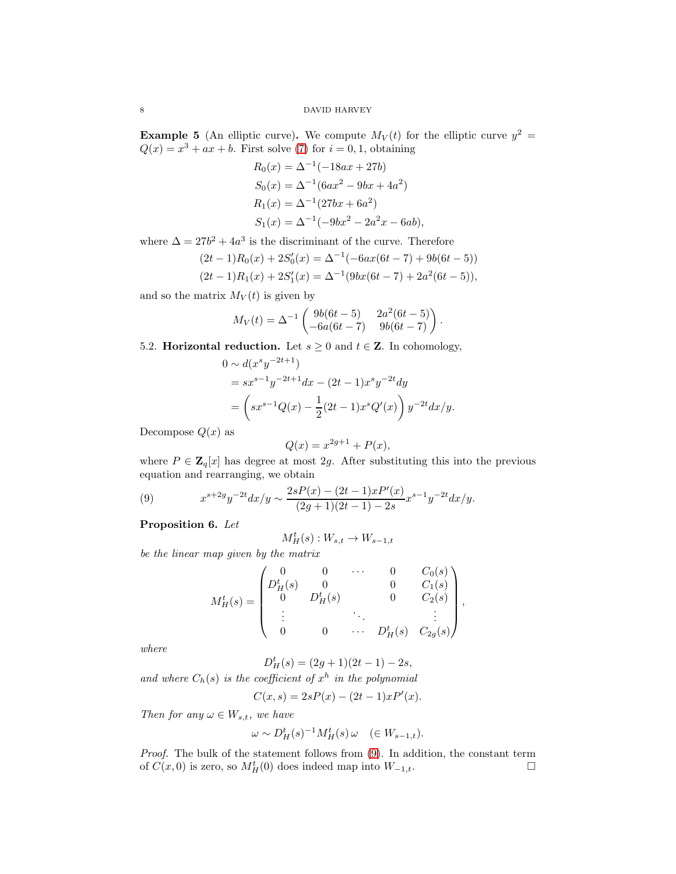<span id="page-7-3"></span>**Example 5** (An elliptic curve). We compute  $M_V(t)$  for the elliptic curve  $y^2 =$  $Q(x) = x^3 + ax + b$ . First solve [\(7\)](#page-6-1) for  $i = 0, 1$ , obtaining

$$
R_0(x) = \Delta^{-1}(-18ax + 27b)
$$
  
\n
$$
S_0(x) = \Delta^{-1}(6ax^2 - 9bx + 4a^2)
$$
  
\n
$$
R_1(x) = \Delta^{-1}(27bx + 6a^2)
$$
  
\n
$$
S_1(x) = \Delta^{-1}(-9bx^2 - 2a^2x - 6ab),
$$

where  $\Delta = 27b^2 + 4a^3$  is the discriminant of the curve. Therefore

$$
(2t-1)R_0(x) + 2S'_0(x) = \Delta^{-1}(-6ax(6t-7) + 9b(6t-5))
$$
  

$$
(2t-1)R_1(x) + 2S'_1(x) = \Delta^{-1}(9bx(6t-7) + 2a^2(6t-5)),
$$

and so the matrix  $M_V(t)$  is given by

$$
M_V(t) = \Delta^{-1} \begin{pmatrix} 9b(6t - 5) & 2a^2(6t - 5) \\ -6a(6t - 7) & 9b(6t - 7) \end{pmatrix}.
$$

<span id="page-7-0"></span>5.2. **Horizontal reduction.** Let  $s \geq 0$  and  $t \in \mathbb{Z}$ . In cohomology,

$$
0 \sim d(x^s y^{-2t+1})
$$
  
=  $sx^{s-1}y^{-2t+1}dx - (2t-1)x^s y^{-2t}dy$   
=  $\left(sx^{s-1}Q(x) - \frac{1}{2}(2t-1)x^sQ'(x)\right)y^{-2t}dx/y.$ 

Decompose  $Q(x)$  as

$$
Q(x) = x^{2g+1} + P(x),
$$

where  $P \in \mathbf{Z}_q[x]$  has degree at most 2g. After substituting this into the previous equation and rearranging, we obtain

<span id="page-7-1"></span>(9) 
$$
x^{s+2g}y^{-2t}dx/y \sim \frac{2sP(x) - (2t-1)xP'(x)}{(2g+1)(2t-1) - 2s}x^{s-1}y^{-2t}dx/y.
$$

<span id="page-7-2"></span>Proposition 6. Let

$$
M_H^t(s) : W_{s,t} \to W_{s-1,t}
$$

be the linear map given by the matrix

$$
M_H^t(s) = \begin{pmatrix} 0 & 0 & \cdots & 0 & C_0(s) \\ D_H^t(s) & 0 & 0 & C_1(s) \\ 0 & D_H^t(s) & 0 & C_2(s) \\ \vdots & \ddots & \ddots & \vdots \\ 0 & 0 & \cdots & D_H^t(s) & C_{2g}(s) \end{pmatrix}
$$

,

where

$$
D_H^t(s) = (2g+1)(2t-1) - 2s,
$$

and where  $C_h(s)$  is the coefficient of  $x^h$  in the polynomial

$$
C(x, s) = 2sP(x) - (2t - 1)xP'(x).
$$

Then for any  $\omega \in W_{s,t}$ , we have

$$
\omega \sim D^t_H(s)^{-1} M^t_H(s) \omega \quad (\in W_{s-1,t}).
$$

Proof. The bulk of the statement follows from [\(9\)](#page-7-1). In addition, the constant term of  $C(x, 0)$  is zero, so  $M_H^t(0)$  does indeed map into  $W_{-1,t}$ .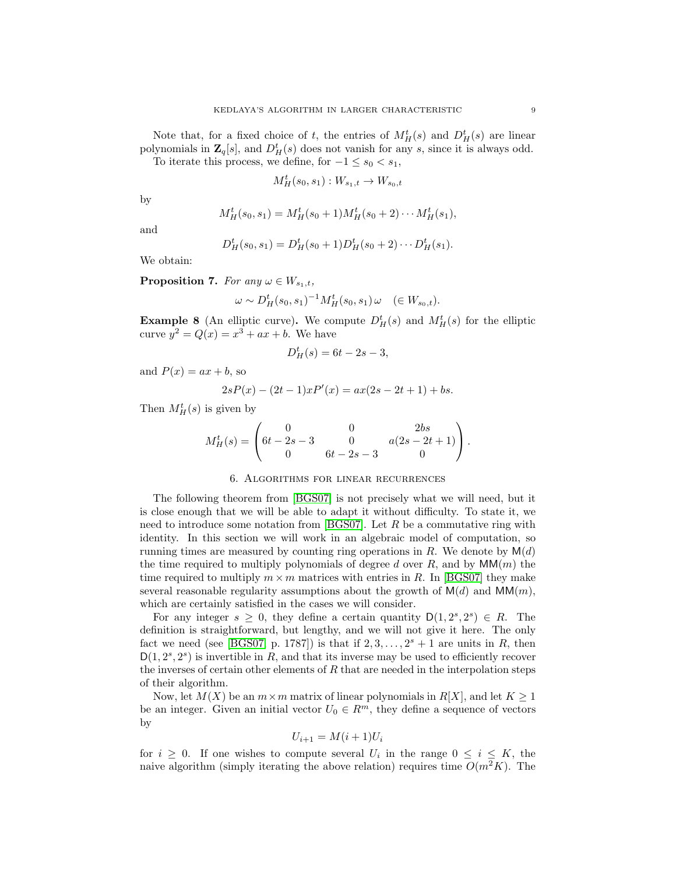Note that, for a fixed choice of t, the entries of  $M_H^t(s)$  and  $D_H^t(s)$  are linear polynomials in  $\mathbf{Z}_q[s]$ , and  $D^t_H(s)$  does not vanish for any s, since it is always odd.

To iterate this process, we define, for  $-1 \leq s_0 < s_1$ ,

$$
M_H^t(s_0, s_1) : W_{s_1, t} \to W_{s_0, t}
$$

by

$$
M_H^t(s_0, s_1) = M_H^t(s_0 + 1)M_H^t(s_0 + 2) \cdots M_H^t(s_1),
$$

and

$$
D_H^t(s_0, s_1) = D_H^t(s_0 + 1)D_H^t(s_0 + 2) \cdots D_H^t(s_1).
$$

We obtain:

<span id="page-8-1"></span>**Proposition 7.** For any  $\omega \in W_{s_1,t}$ ,

$$
\omega \sim D_H^t(s_0, s_1)^{-1} M_H^t(s_0, s_1) \omega \quad (\in W_{s_0, t}).
$$

**Example 8** (An elliptic curve). We compute  $D_H^t(s)$  and  $M_H^t(s)$  for the elliptic curve  $y^2 = Q(x) = x^3 + ax + b$ . We have

$$
D_H^t(s) = 6t - 2s - 3,
$$

and  $P(x) = ax + b$ , so

$$
2sP(x) - (2t - 1)xP'(x) = ax(2s - 2t + 1) + bs.
$$

Then  $M_H^t(s)$  is given by

$$
M_H^t(s) = \begin{pmatrix} 0 & 0 & 2bs \\ 6t - 2s - 3 & 0 & a(2s - 2t + 1) \\ 0 & 6t - 2s - 3 & 0 \end{pmatrix}.
$$

# 6. Algorithms for linear recurrences

<span id="page-8-0"></span>The following theorem from [\[BGS07\]](#page-20-6) is not precisely what we will need, but it is close enough that we will be able to adapt it without difficulty. To state it, we need to introduce some notation from  $[BSS07]$ . Let R be a commutative ring with identity. In this section we will work in an algebraic model of computation, so running times are measured by counting ring operations in  $R$ . We denote by  $M(d)$ the time required to multiply polynomials of degree d over  $R$ , and by  $MM(m)$  the time required to multiply  $m \times m$  matrices with entries in R. In [\[BGS07\]](#page-20-6) they make several reasonable regularity assumptions about the growth of  $M(d)$  and  $MM(m)$ , which are certainly satisfied in the cases we will consider.

For any integer  $s \geq 0$ , they define a certain quantity  $D(1, 2^s, 2^s) \in R$ . The definition is straightforward, but lengthy, and we will not give it here. The only fact we need (see [\[BGS07,](#page-20-6) p. 1787]) is that if  $2, 3, \ldots, 2<sup>s</sup> + 1$  are units in R, then  $D(1, 2^s, 2^s)$  is invertible in R, and that its inverse may be used to efficiently recover the inverses of certain other elements of  $R$  that are needed in the interpolation steps of their algorithm.

Now, let  $M(X)$  be an  $m \times m$  matrix of linear polynomials in  $R[X]$ , and let  $K \geq 1$ be an integer. Given an initial vector  $U_0 \in \mathbb{R}^m$ , they define a sequence of vectors by

$$
U_{i+1} = M(i+1)U_i
$$

for  $i \geq 0$ . If one wishes to compute several  $U_i$  in the range  $0 \leq i \leq K$ , the naive algorithm (simply iterating the above relation) requires time  $O(m^2K)$ . The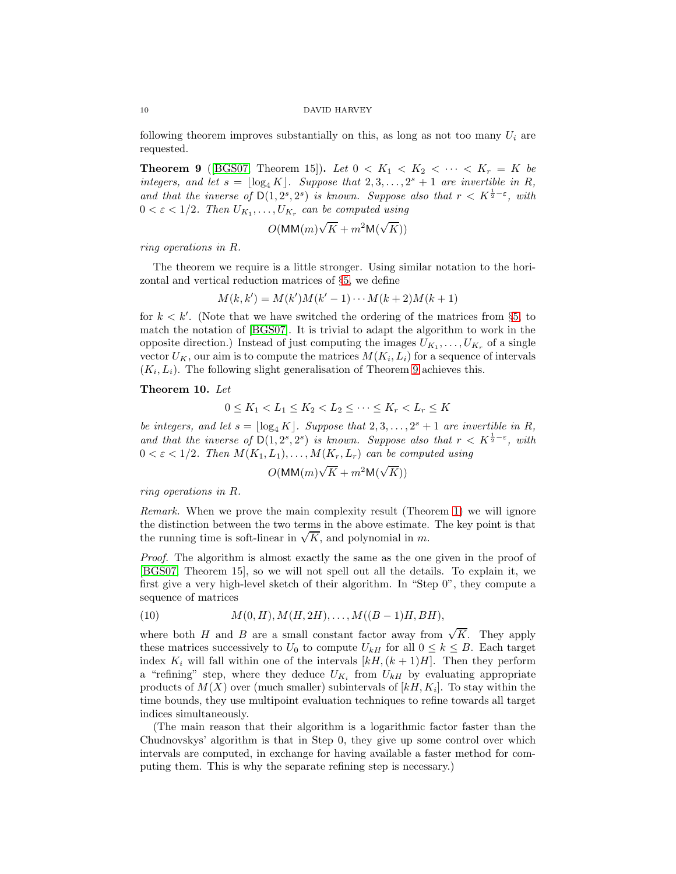following theorem improves substantially on this, as long as not too many  $U_i$  are requested.

<span id="page-9-0"></span>**Theorem 9** ([\[BGS07,](#page-20-6) Theorem 15]). Let  $0 < K_1 < K_2 < \cdots < K_r = K$  be integers, and let  $s = \lfloor \log_4 K \rfloor$ . Suppose that  $2, 3, ..., 2^s + 1$  are invertible in R, and that the inverse of  $D(1, 2^s, 2^s)$  is known. Suppose also that  $r < K^{\frac{1}{2} - \varepsilon}$ , with  $0 < \varepsilon < 1/2$ . Then  $U_{K_1}, \ldots, U_{K_r}$  can be computed using

$$
O(\text{MM}(m)\sqrt{K} + m^2 \text{M}(\sqrt{K}))
$$

ring operations in R.

The theorem we require is a little stronger. Using similar notation to the horizontal and vertical reduction matrices of §[5,](#page-5-0) we define

$$
M(k, k') = M(k')M(k' - 1) \cdots M(k + 2)M(k + 1)
$$

for  $k < k'$ . (Note that we have switched the ordering of the matrices from §[5,](#page-5-0) to match the notation of [\[BGS07\]](#page-20-6). It is trivial to adapt the algorithm to work in the opposite direction.) Instead of just computing the images  $U_{K_1}, \ldots, U_{K_r}$  of a single vector  $U_K$ , our aim is to compute the matrices  $M(K_i, L_i)$  for a sequence of intervals  $(K_i, L_i)$ . The following slight generalisation of Theorem [9](#page-9-0) achieves this.

## <span id="page-9-2"></span>Theorem 10. Let

$$
0 \le K_1 < L_1 \le K_2 < L_2 \le \cdots \le K_r < L_r \le K
$$

be integers, and let  $s = \lfloor \log_4 K \rfloor$ . Suppose that  $2, 3, ..., 2^s + 1$  are invertible in R, and that the inverse of  $\overline{D(1, 2^s, 2^s)}$  is known. Suppose also that  $r < K^{\frac{1}{2} - \varepsilon}$ , with  $0 < \varepsilon < 1/2$ . Then  $M(K_1, L_1), \ldots, M(K_r, L_r)$  can be computed using

$$
O(\mathsf{MM}(m)\sqrt{K} + m^2 \mathsf{M}(\sqrt{K}))
$$

ring operations in R.

Remark. When we prove the main complexity result (Theorem [1\)](#page-0-1) we will ignore the distinction between the two terms in the above estimate. The key point is that the running time is soft-linear in  $\sqrt{K}$ , and polynomial in m.

Proof. The algorithm is almost exactly the same as the one given in the proof of [\[BGS07,](#page-20-6) Theorem 15], so we will not spell out all the details. To explain it, we first give a very high-level sketch of their algorithm. In "Step 0", they compute a sequence of matrices

<span id="page-9-1"></span>(10) 
$$
M(0, H), M(H, 2H), \dots, M((B-1)H, BH),
$$

where both H and B are a small constant factor away from  $\sqrt{K}$ . They apply these matrices successively to  $U_0$  to compute  $U_{kH}$  for all  $0 \leq k \leq B$ . Each target index  $K_i$  will fall within one of the intervals  $[kH,(k+1)H]$ . Then they perform a "refining" step, where they deduce  $U_{K_i}$  from  $U_{kH}$  by evaluating appropriate products of  $M(X)$  over (much smaller) subintervals of  $[kH, K_i]$ . To stay within the time bounds, they use multipoint evaluation techniques to refine towards all target indices simultaneously.

(The main reason that their algorithm is a logarithmic factor faster than the Chudnovskys' algorithm is that in Step 0, they give up some control over which intervals are computed, in exchange for having available a faster method for computing them. This is why the separate refining step is necessary.)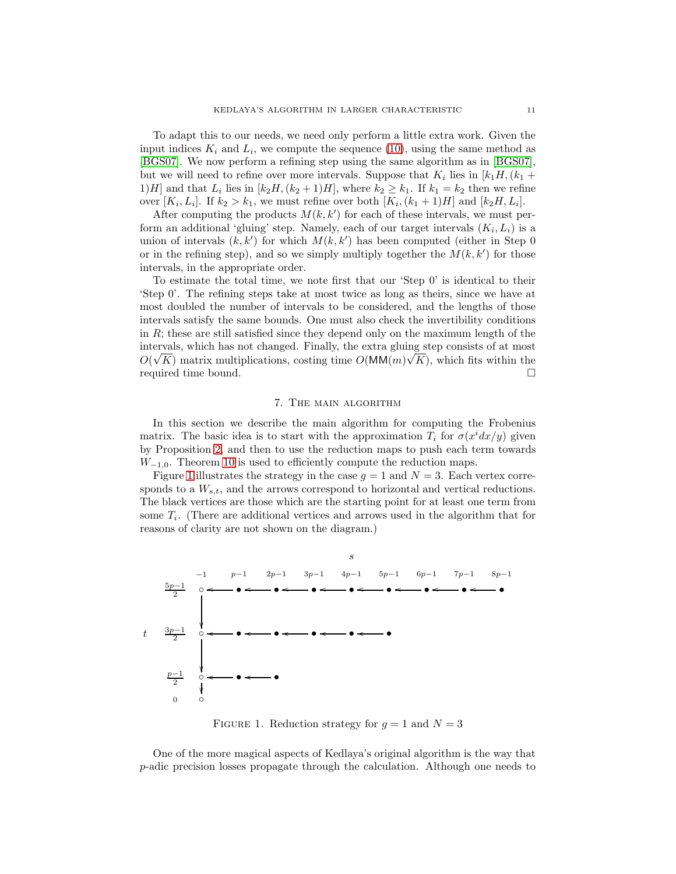To adapt this to our needs, we need only perform a little extra work. Given the input indices  $K_i$  and  $L_i$ , we compute the sequence [\(10\)](#page-9-1), using the same method as [\[BGS07\]](#page-20-6). We now perform a refining step using the same algorithm as in [\[BGS07\]](#page-20-6), but we will need to refine over more intervals. Suppose that  $K_i$  lies in  $[k_1H, (k_1 +$ 1)H] and that  $L_i$  lies in  $[k_2H,(k_2+1)H]$ , where  $k_2 \geq k_1$ . If  $k_1 = k_2$  then we refine over  $[K_i, L_i]$ . If  $k_2 > k_1$ , we must refine over both  $[K_i, (k_1 + 1)H]$  and  $[k_2H, L_i]$ .

After computing the products  $M(k, k')$  for each of these intervals, we must perform an additional 'gluing' step. Namely, each of our target intervals  $(K_i, L_i)$  is a union of intervals  $(k, k')$  for which  $M(k, k')$  has been computed (either in Step 0) or in the refining step), and so we simply multiply together the  $M(k, k')$  for those intervals, in the appropriate order.

To estimate the total time, we note first that our 'Step 0' is identical to their 'Step 0'. The refining steps take at most twice as long as theirs, since we have at most doubled the number of intervals to be considered, and the lengths of those intervals satisfy the same bounds. One must also check the invertibility conditions in  $R$ ; these are still satisfied since they depend only on the maximum length of the intervals, which has not changed. Finally, the extra gluing step consists of at most  $O(\sqrt{K})$  matrix multiplications, costing time  $O(MM(m)\sqrt{K})$ , which fits within the required time bound.

# 7. The main algorithm

<span id="page-10-0"></span>In this section we describe the main algorithm for computing the Frobenius matrix. The basic idea is to start with the approximation  $T_i$  for  $\sigma(x^i dx/y)$  given by Proposition [2,](#page-4-3) and then to use the reduction maps to push each term towards  $W_{-1,0}$ . Theorem [10](#page-9-2) is used to efficiently compute the reduction maps.

Figure [1](#page-10-1) illustrates the strategy in the case  $g = 1$  and  $N = 3$ . Each vertex corresponds to a  $W_{s,t}$ , and the arrows correspond to horizontal and vertical reductions. The black vertices are those which are the starting point for at least one term from some  $T_i$ . (There are additional vertices and arrows used in the algorithm that for reasons of clarity are not shown on the diagram.)



<span id="page-10-1"></span>FIGURE 1. Reduction strategy for  $q = 1$  and  $N = 3$ 

One of the more magical aspects of Kedlaya's original algorithm is the way that p-adic precision losses propagate through the calculation. Although one needs to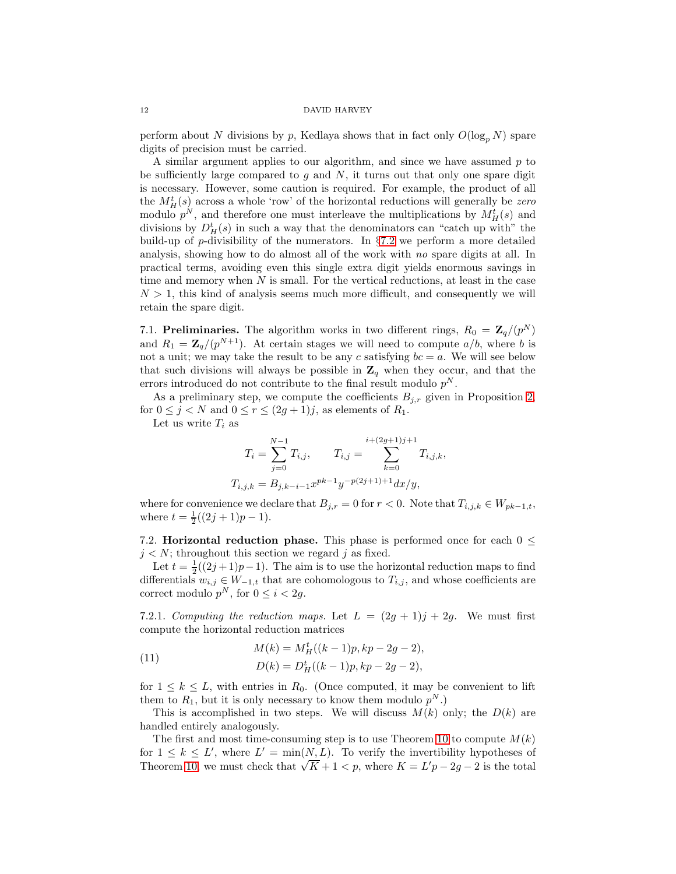perform about N divisions by p, Kedlaya shows that in fact only  $O(\log_p N)$  spare digits of precision must be carried.

A similar argument applies to our algorithm, and since we have assumed  $p$  to be sufficiently large compared to  $g$  and  $N$ , it turns out that only one spare digit is necessary. However, some caution is required. For example, the product of all the  $M_H^t(s)$  across a whole 'row' of the horizontal reductions will generally be zero modulo  $p^N$ , and therefore one must interleave the multiplications by  $M_H^t(s)$  and divisions by  $D_H^t(s)$  in such a way that the denominators can "catch up with" the build-up of p-divisibility of the numerators. In  $\S 7.2$  $\S 7.2$  we perform a more detailed analysis, showing how to do almost all of the work with no spare digits at all. In practical terms, avoiding even this single extra digit yields enormous savings in time and memory when  $N$  is small. For the vertical reductions, at least in the case  $N > 1$ , this kind of analysis seems much more difficult, and consequently we will retain the spare digit.

7.1. Preliminaries. The algorithm works in two different rings,  $R_0 = \mathbf{Z}_q/(p^N)$ and  $R_1 = \mathbb{Z}_q/(p^{N+1})$ . At certain stages we will need to compute  $a/b$ , where b is not a unit; we may take the result to be any c satisfying  $bc = a$ . We will see below that such divisions will always be possible in  $\mathbb{Z}_q$  when they occur, and that the errors introduced do not contribute to the final result modulo  $p^N$ .

As a preliminary step, we compute the coefficients  $B_{j,r}$  given in Proposition [2,](#page-4-3) for  $0 \leq j \leq N$  and  $0 \leq r \leq (2g+1)j$ , as elements of  $R_1$ .

Let us write  $T_i$  as

$$
T_{i} = \sum_{j=0}^{N-1} T_{i,j}, \qquad T_{i,j} = \sum_{k=0}^{i+(2g+1)j+1} T_{i,j,k},
$$
  

$$
T_{i,j,k} = B_{j,k-i-1} x^{pk-1} y^{-p(2j+1)+1} dx/y,
$$

where for convenience we declare that  $B_{j,r} = 0$  for  $r < 0$ . Note that  $T_{i,j,k} \in W_{pk-1,t}$ , where  $t = \frac{1}{2}((2j + 1)p - 1).$ 

<span id="page-11-1"></span>7.2. **Horizontal reduction phase.** This phase is performed once for each  $0 \leq$  $j < N$ ; throughout this section we regard j as fixed.

Let  $t = \frac{1}{2}((2j+1)p-1)$ . The aim is to use the horizontal reduction maps to find differentials  $w_{i,j} \in W_{-1,t}$  that are cohomologous to  $T_{i,j}$ , and whose coefficients are correct modulo  $p^N$ , for  $0 \le i < 2g$ .

<span id="page-11-0"></span>7.2.1. Computing the reduction maps. Let  $L = (2g + 1)j + 2g$ . We must first compute the horizontal reduction matrices

<span id="page-11-2"></span>(11) 
$$
M(k) = M_H^t((k-1)p, kp-2g-2),
$$

$$
D(k) = D_H^t((k-1)p, kp-2g-2),
$$

for  $1 \leq k \leq L$ , with entries in  $R_0$ . (Once computed, it may be convenient to lift them to  $R_1$ , but it is only necessary to know them modulo  $p^N$ .)

This is accomplished in two steps. We will discuss  $M(k)$  only; the  $D(k)$  are handled entirely analogously.

The first and most time-consuming step is to use Theorem [10](#page-9-2) to compute  $M(k)$ for  $1 \leq k \leq L'$ , where  $L' = \min(\underline{N}, \underline{L})$ . To verify the invertibility hypotheses of Theorem [10,](#page-9-2) we must check that  $\sqrt{K} + 1 < p$ , where  $K = L'p - 2g - 2$  is the total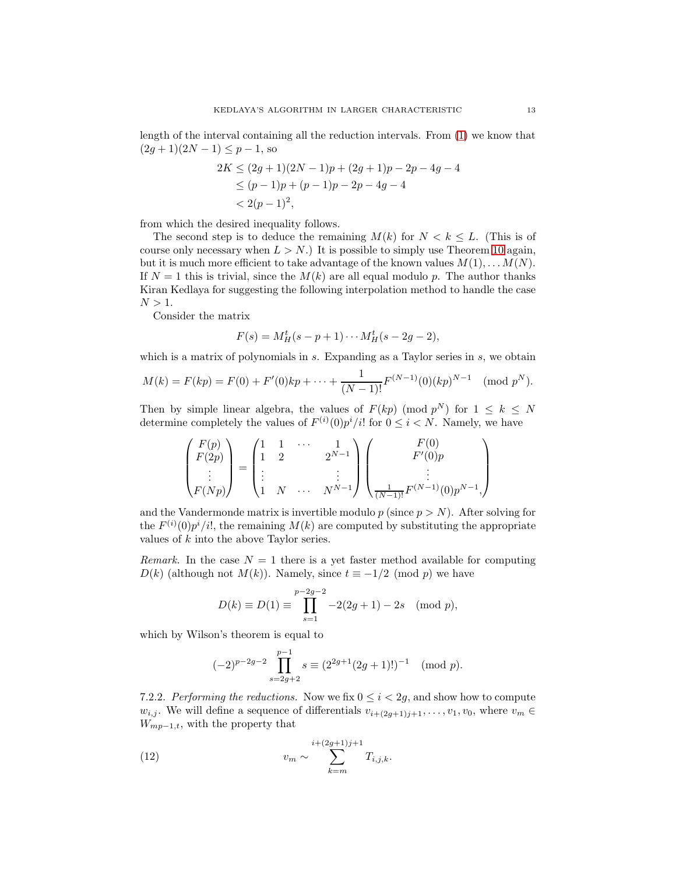length of the interval containing all the reduction intervals. From [\(1\)](#page-0-0) we know that  $(2g+1)(2N-1) \leq p-1$ , so

$$
2K \le (2g+1)(2N-1)p + (2g+1)p - 2p - 4g - 4
$$
  
\n
$$
\le (p-1)p + (p-1)p - 2p - 4g - 4
$$
  
\n
$$
< 2(p-1)^2,
$$

from which the desired inequality follows.

The second step is to deduce the remaining  $M(k)$  for  $N < k \leq L$ . (This is of course only necessary when  $L > N$ .) It is possible to simply use Theorem [10](#page-9-2) again, but it is much more efficient to take advantage of the known values  $M(1), \ldots, M(N)$ . If  $N = 1$  this is trivial, since the  $M(k)$  are all equal modulo p. The author thanks Kiran Kedlaya for suggesting the following interpolation method to handle the case  $N > 1$ .

Consider the matrix

$$
F(s) = M_H^t(s - p + 1) \cdots M_H^t(s - 2g - 2),
$$

which is a matrix of polynomials in s. Expanding as a Taylor series in s, we obtain

$$
M(k) = F(kp) = F(0) + F'(0)kp + \dots + \frac{1}{(N-1)!}F^{(N-1)}(0)(kp)^{N-1} \pmod{p^N}.
$$

Then by simple linear algebra, the values of  $F(kp) \pmod{p^N}$  for  $1 \leq k \leq N$ determine completely the values of  $F^{(i)}(0)p^{i}/i!$  for  $0 \leq i \leq N$ . Namely, we have

$$
\begin{pmatrix} F(p) \\ F(2p) \\ \vdots \\ F(Np) \end{pmatrix} = \begin{pmatrix} 1 & 1 & \cdots & 1 \\ 1 & 2 & & 2^{N-1} \\ \vdots & & & \vdots \\ 1 & N & \cdots & N^{N-1} \end{pmatrix} \begin{pmatrix} F(0) \\ F'(0)p \\ \vdots \\ \frac{1}{(N-1)!} F^{(N-1)}(0)p^{N-1}, \end{pmatrix}
$$

and the Vandermonde matrix is invertible modulo p (since  $p > N$ ). After solving for the  $F^{(i)}(0)p^{i}/i!$ , the remaining  $M(k)$  are computed by substituting the appropriate values of k into the above Taylor series.

Remark. In the case  $N = 1$  there is a yet faster method available for computing  $D(k)$  (although not  $M(k)$ ). Namely, since  $t \equiv -1/2 \pmod{p}$  we have

$$
D(k) \equiv D(1) \equiv \prod_{s=1}^{p-2g-2} -2(2g+1) - 2s \pmod{p},
$$

which by Wilson's theorem is equal to

<span id="page-12-0"></span>
$$
(-2)^{p-2g-2} \prod_{s=2g+2}^{p-1} s \equiv (2^{2g+1}(2g+1)!)^{-1} \pmod{p}.
$$

7.2.2. Performing the reductions. Now we fix  $0 \leq i < 2g$ , and show how to compute  $w_{i,j}$ . We will define a sequence of differentials  $v_{i+(2q+1)j+1}, \ldots, v_1, v_0$ , where  $v_m \in$  $W_{mp-1,t}$ , with the property that

(12) 
$$
v_m \sim \sum_{k=m}^{i+(2g+1)j+1} T_{i,j,k}.
$$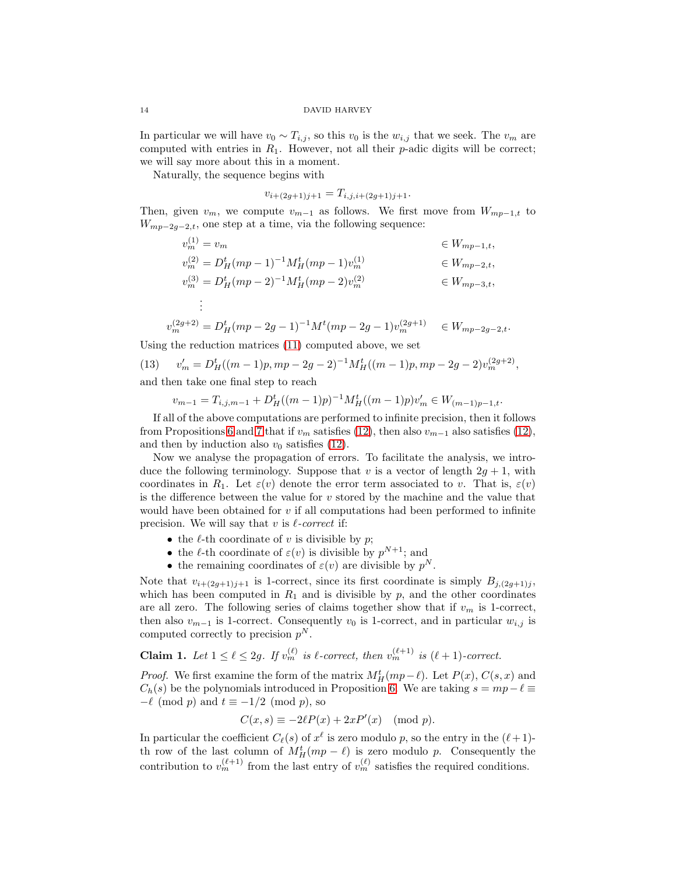In particular we will have  $v_0 \sim T_{i,j}$ , so this  $v_0$  is the  $w_{i,j}$  that we seek. The  $v_m$  are computed with entries in  $R_1$ . However, not all their  $p$ -adic digits will be correct; we will say more about this in a moment.

Naturally, the sequence begins with

$$
v_{i+(2g+1)j+1} = T_{i,j,i+(2g+1)j+1}.
$$

Then, given  $v_m$ , we compute  $v_{m-1}$  as follows. We first move from  $W_{mp-1,t}$  to  $W_{mp-2g-2,t}$ , one step at a time, via the following sequence:

$$
v_m^{(1)} = v_m \qquad \in W_{mp-1,t},
$$
  
\n
$$
v_m^{(2)} = D_H^t (mp - 1)^{-1} M_H^t (mp - 1) v_m^{(1)} \qquad \in W_{mp-2,t},
$$
  
\n
$$
v_m^{(3)} = D_H^t (mp - 2)^{-1} M_H^t (mp - 2) v_m^{(2)} \qquad \in W_{mp-3,t},
$$
  
\n
$$
\vdots
$$

$$
v_m^{(2g+2)} = D_H^t (mp - 2g - 1)^{-1} M^t (mp - 2g - 1) v_m^{(2g+1)} \in W_{mp - 2g - 2, t}.
$$

Using the reduction matrices [\(11\)](#page-11-2) computed above, we set

(13) 
$$
v'_m = D_H^t((m-1)p, mp - 2g - 2)^{-1}M_H^t((m-1)p, mp - 2g - 2)v_m^{(2g+2)},
$$
 and then take one final step to reach

and then take one final step to reach

<span id="page-13-0"></span>
$$
v_{m-1} = T_{i,j,m-1} + D^t_H((m-1)p)^{-1}M^t_H((m-1)p)v'_m \in W_{(m-1)p-1,t}.
$$

If all of the above computations are performed to infinite precision, then it follows from Propositions [6](#page-7-2) and [7](#page-8-1) that if  $v_m$  satisfies [\(12\)](#page-12-0), then also  $v_{m-1}$  also satisfies (12), and then by induction also  $v_0$  satisfies [\(12\)](#page-12-0).

Now we analyse the propagation of errors. To facilitate the analysis, we introduce the following terminology. Suppose that v is a vector of length  $2g + 1$ , with coordinates in  $R_1$ . Let  $\varepsilon(v)$  denote the error term associated to v. That is,  $\varepsilon(v)$ is the difference between the value for  $v$  stored by the machine and the value that would have been obtained for  $v$  if all computations had been performed to infinite precision. We will say that v is  $\ell$ -correct if:

- the  $\ell$ -th coordinate of v is divisible by p;
- the  $\ell$ -th coordinate of  $\varepsilon(v)$  is divisible by  $p^{N+1}$ ; and
- the remaining coordinates of  $\varepsilon(v)$  are divisible by  $p^N$ .

Note that  $v_{i+(2g+1)j+1}$  is 1-correct, since its first coordinate is simply  $B_{j,(2g+1)j}$ , which has been computed in  $R_1$  and is divisible by  $p$ , and the other coordinates are all zero. The following series of claims together show that if  $v_m$  is 1-correct, then also  $v_{m-1}$  is 1-correct. Consequently  $v_0$  is 1-correct, and in particular  $w_{i,j}$  is computed correctly to precision  $p^N$ .

<span id="page-13-1"></span>**Claim 1.** Let 
$$
1 \leq \ell \leq 2g
$$
. If  $v_m^{(\ell)}$  is  $\ell$ -correct, then  $v_m^{(\ell+1)}$  is  $(\ell+1)$ -correct.

*Proof.* We first examine the form of the matrix  $M_H^t(mp-\ell)$ . Let  $P(x)$ ,  $C(s, x)$  and  $C_h(s)$  be the polynomials introduced in Proposition [6.](#page-7-2) We are taking  $s = mp - \ell \equiv$  $-\ell \pmod{p}$  and  $t \equiv -1/2 \pmod{p}$ , so

$$
C(x,s) \equiv -2\ell P(x) + 2xP'(x) \pmod{p}.
$$

In particular the coefficient  $C_{\ell}(s)$  of  $x^{\ell}$  is zero modulo p, so the entry in the  $(\ell+1)$ th row of the last column of  $M_H^t(mp-\ell)$  is zero modulo p. Consequently the contribution to  $v_m^{(\ell+1)}$  from the last entry of  $v_m^{(\ell)}$  satisfies the required conditions.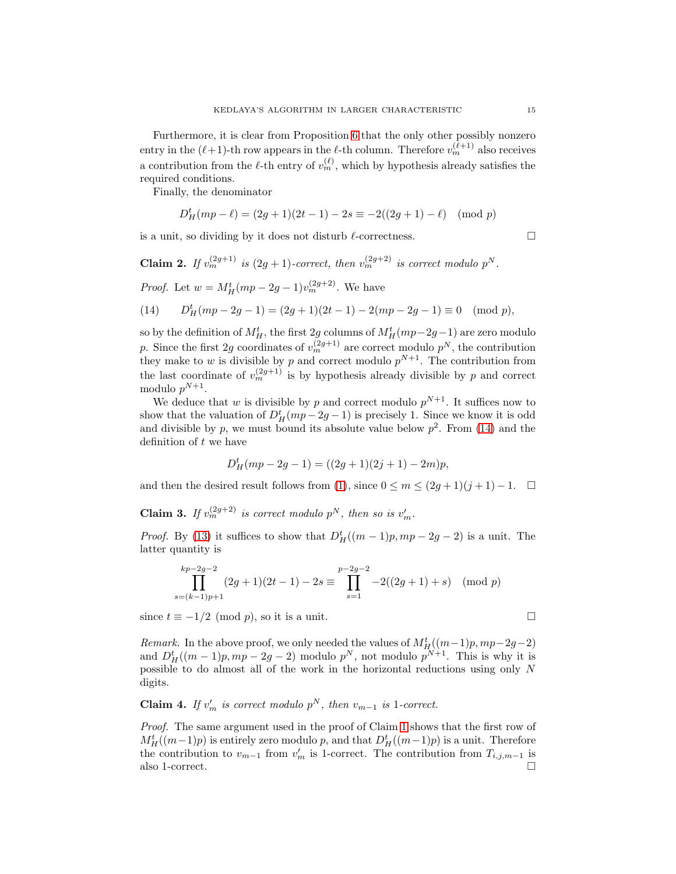Furthermore, it is clear from Proposition [6](#page-7-2) that the only other possibly nonzero entry in the  $(\ell+1)$ -th row appears in the  $\ell$ -th column. Therefore  $v_m^{(\ell+1)}$  also receives a contribution from the  $\ell$ -th entry of  $v_m^{(\ell)}$ , which by hypothesis already satisfies the required conditions.

Finally, the denominator

$$
D_H^t(mp-\ell) = (2g+1)(2t-1) - 2s \equiv -2((2g+1)-\ell) \pmod{p}
$$

is a unit, so dividing by it does not disturb  $\ell$ -correctness.

**Claim 2.** If  $v_m^{(2g+1)}$  is  $(2g+1)$ -correct, then  $v_m^{(2g+2)}$  is correct modulo  $p^N$ .

*Proof.* Let  $w = M_H^t (mp - 2g - 1)v_m^{(2g+2)}$ . We have

<span id="page-14-0"></span>(14) 
$$
D_H^t(mp-2g-1) = (2g+1)(2t-1) - 2(mp-2g-1) \equiv 0 \pmod{p},
$$

so by the definition of  $M_H^t$ , the first 2g columns of  $M_H^t(mp-2g-1)$  are zero modulo p. Since the first 2g coordinates of  $v_m^{(2g+1)}$  are correct modulo  $p^N$ , the contribution they make to w is divisible by p and correct modulo  $p^{N+1}$ . The contribution from the last coordinate of  $v_m^{(2g+1)}$  is by hypothesis already divisible by p and correct modulo  $p^{N+1}$ .

We deduce that w is divisible by p and correct modulo  $p^{N+1}$ . It suffices now to show that the valuation of  $D_H^t(mp-2g-1)$  is precisely 1. Since we know it is odd and divisible by p, we must bound its absolute value below  $p^2$ . From [\(14\)](#page-14-0) and the definition of  $t$  we have

$$
D_H^t(mp-2g-1) = ((2g+1)(2j+1) - 2m)p,
$$

and then the desired result follows from [\(1\)](#page-0-0), since  $0 \le m \le (2g+1)(j+1)-1$ .  $\Box$ 

**Claim 3.** If  $v_m^{(2g+2)}$  is correct modulo  $p^N$ , then so is  $v'_m$ .

*Proof.* By [\(13\)](#page-13-0) it suffices to show that  $D_H^t((m-1)p, mp - 2g - 2)$  is a unit. The latter quantity is

$$
\prod_{s=(k-1)p+1}^{kp-2g-2} (2g+1)(2t-1) - 2s \equiv \prod_{s=1}^{p-2g-2} -2((2g+1)+s) \pmod{p}
$$

since  $t \equiv -1/2 \pmod{p}$ , so it is a unit.

Remark. In the above proof, we only needed the values of  $M_H^t((m-1)p, mp-2g-2)$ and  $D^t_H((m-1)p, mp-2g-2)$  modulo  $p^N$ , not modulo  $p^{N+1}$ . This is why it is possible to do almost all of the work in the horizontal reductions using only N digits.

# **Claim 4.** If  $v'_m$  is correct modulo  $p^N$ , then  $v_{m-1}$  is 1-correct.

Proof. The same argument used in the proof of Claim [1](#page-13-1) shows that the first row of  $M_H^t((m-1)p)$  is entirely zero modulo p, and that  $D_H^t((m-1)p)$  is a unit. Therefore the contribution to  $v_{m-1}$  from  $v'_{m}$  is 1-correct. The contribution from  $T_{i,j,m-1}$  is also 1-correct.

$$
\overline{\phantom{0}}
$$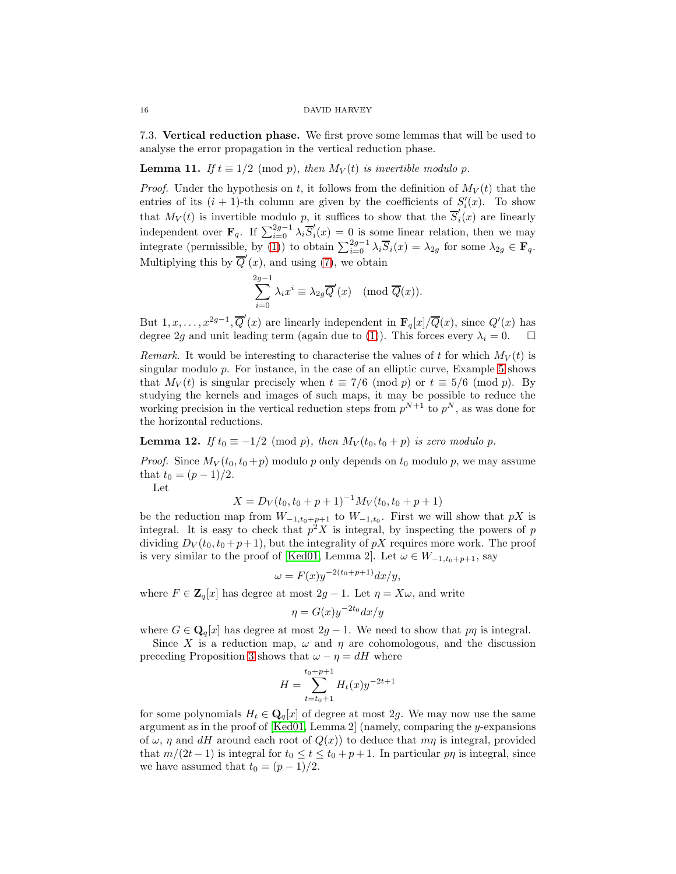7.3. Vertical reduction phase. We first prove some lemmas that will be used to analyse the error propagation in the vertical reduction phase.

<span id="page-15-0"></span>**Lemma 11.** If  $t \equiv 1/2 \pmod{p}$ , then  $M_V(t)$  is invertible modulo p.

*Proof.* Under the hypothesis on t, it follows from the definition of  $M_V(t)$  that the entries of its  $(i + 1)$ -th column are given by the coefficients of  $S_i'(x)$ . To show that  $M_V(t)$  is invertible modulo p, it suffices to show that the  $\overline{S}'_i$  $i<sub>i</sub>(x)$  are linearly independent over  $\mathbf{F}_q$ . If  $\sum_{i=0}^{2g-1} \lambda_i \overline{S}'_i$  $i_i(x) = 0$  is some linear relation, then we may integrate (permissible, by [\(1\)](#page-0-0)) to obtain  $\sum_{i=0}^{2g-1} \lambda_i \overline{S}_i(x) = \lambda_{2g}$  for some  $\lambda_{2g} \in \mathbf{F}_q$ . Multiplying this by  $\overline{Q}'(x)$ , and using [\(7\)](#page-6-1), we obtain

$$
\sum_{i=0}^{2g-1} \lambda_i x^i \equiv \lambda_{2g} \overline{Q}'(x) \pmod{\overline{Q}(x)}.
$$

But  $1, x, \ldots, x^{2g-1}, \overline{Q}'(x)$  are linearly independent in  $\mathbf{F}_q[x]/\overline{Q}(x)$ , since  $Q'(x)$  has degree 2g and unit leading term (again due to [\(1\)](#page-0-0)). This forces every  $\lambda_i = 0$ .  $\Box$ 

Remark. It would be interesting to characterise the values of t for which  $M_V(t)$  is singular modulo p. For instance, in the case of an elliptic curve, Example [5](#page-7-3) shows that  $M_V(t)$  is singular precisely when  $t \equiv 7/6 \pmod{p}$  or  $t \equiv 5/6 \pmod{p}$ . By studying the kernels and images of such maps, it may be possible to reduce the working precision in the vertical reduction steps from  $p^{N+1}$  to  $p^N$ , as was done for the horizontal reductions.

<span id="page-15-1"></span>**Lemma 12.** If  $t_0 \equiv -1/2 \pmod{p}$ , then  $M_V(t_0, t_0 + p)$  is zero modulo p.

*Proof.* Since  $M_V(t_0, t_0 + p)$  modulo p only depends on  $t_0$  modulo p, we may assume that  $t_0 = (p-1)/2$ .

Let

$$
X = D_V(t_0, t_0 + p + 1)^{-1} M_V(t_0, t_0 + p + 1)
$$

be the reduction map from  $W_{-1,t_0+p+1}$  to  $W_{-1,t_0}$ . First we will show that pX is integral. It is easy to check that  $p^2 X$  is integral, by inspecting the powers of p dividing  $D_V(t_0, t_0 + p + 1)$ , but the integrality of pX requires more work. The proof is very similar to the proof of [\[Ked01,](#page-20-0) Lemma 2]. Let  $\omega \in W_{-1,t_0+p+1}$ , say

$$
\omega = F(x)y^{-2(t_0+p+1)}dx/y,
$$

where  $F \in \mathbf{Z}_q[x]$  has degree at most  $2g - 1$ . Let  $\eta = X\omega$ , and write

$$
\eta = G(x)y^{-2t_0}dx/y
$$

where  $G \in \mathbf{Q}_q[x]$  has degree at most  $2g - 1$ . We need to show that p $\eta$  is integral.

Since X is a reduction map,  $\omega$  and  $\eta$  are cohomologous, and the discussion preceding Proposition [3](#page-6-2) shows that  $\omega - \eta = dH$  where

$$
H = \sum_{t=t_0+1}^{t_0+p+1} H_t(x) y^{-2t+1}
$$

for some polynomials  $H_t \in \mathbf{Q}_q[x]$  of degree at most 2g. We may now use the same argument as in the proof of  $Ked01$ , Lemma 2 (namely, comparing the y-expansions of  $\omega$ ,  $\eta$  and dH around each root of  $Q(x)$  to deduce that  $m\eta$  is integral, provided that  $m/(2t-1)$  is integral for  $t_0 \le t \le t_0 + p + 1$ . In particular p $\eta$  is integral, since we have assumed that  $t_0 = (p-1)/2$ .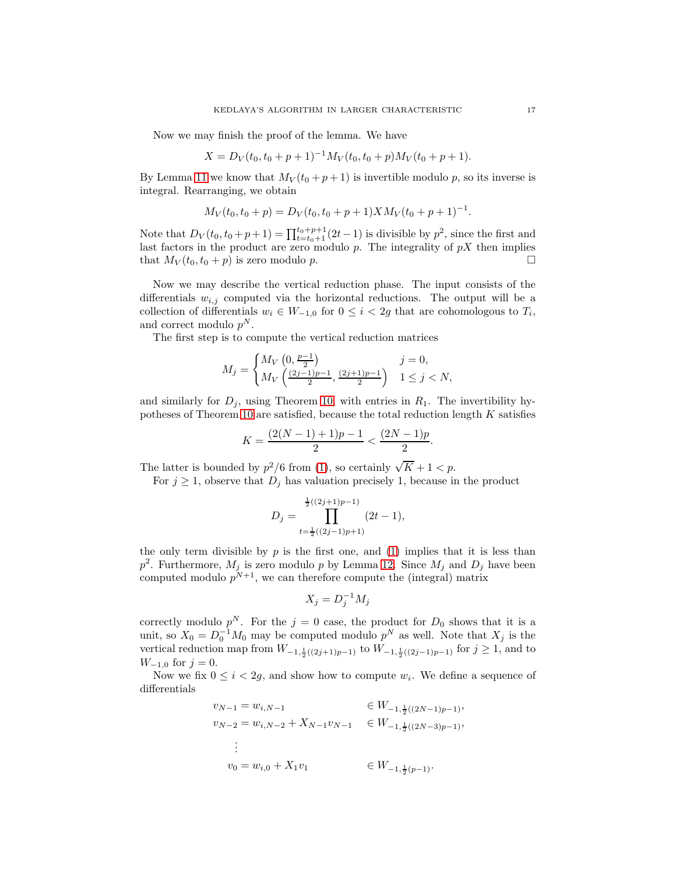Now we may finish the proof of the lemma. We have

$$
X = D_V(t_0, t_0 + p + 1)^{-1} M_V(t_0, t_0 + p) M_V(t_0 + p + 1).
$$

By Lemma [11](#page-15-0) we know that  $M_V(t_0 + p + 1)$  is invertible modulo p, so its inverse is integral. Rearranging, we obtain

$$
M_V(t_0, t_0 + p) = D_V(t_0, t_0 + p + 1) X M_V(t_0 + p + 1)^{-1}.
$$

Note that  $D_V(t_0, t_0 + p + 1) = \prod_{t=t_0+1}^{t_0+p+1} (2t-1)$  is divisible by  $p^2$ , since the first and last factors in the product are zero modulo  $p$ . The integrality of  $pX$  then implies that  $M_V(t_0, t_0 + p)$  is zero modulo p.

Now we may describe the vertical reduction phase. The input consists of the differentials  $w_{i,j}$  computed via the horizontal reductions. The output will be a collection of differentials  $w_i \in W_{-1,0}$  for  $0 \leq i < 2g$  that are cohomologous to  $T_i$ , and correct modulo  $p^N$ .

The first step is to compute the vertical reduction matrices

$$
M_j = \begin{cases} M_V\left(0, \frac{p-1}{2}\right) & j = 0, \\ M_V\left(\frac{(2j-1)p-1}{2}, \frac{(2j+1)p-1}{2}\right) & 1 \le j < N, \end{cases}
$$

and similarly for  $D_j$ , using Theorem [10,](#page-9-2) with entries in  $R_1$ . The invertibility hypotheses of Theorem [10](#page-9-2) are satisfied, because the total reduction length K satisfies

$$
K = \frac{(2(N-1)+1)p - 1}{2} < \frac{(2N-1)p}{2}.
$$

The latter is bounded by  $p^2/6$  from [\(1\)](#page-0-0), so certainly  $\sqrt{K} + 1 < p$ .

For  $j \geq 1$ , observe that  $D_j$  has valuation precisely 1, because in the product

$$
D_j = \prod_{t=\frac{1}{2}((2j-1)p+1)}^{\frac{1}{2}((2j+1)p-1)} (2t-1),
$$

the only term divisible by  $p$  is the first one, and [\(1\)](#page-0-0) implies that it is less than  $p^2$ . Furthermore,  $M_j$  is zero modulo p by Lemma [12.](#page-15-1) Since  $M_j$  and  $D_j$  have been computed modulo  $p^{N+1}$ , we can therefore compute the (integral) matrix

$$
X_j = D_j^{-1} M_j
$$

correctly modulo  $p^N$ . For the  $j = 0$  case, the product for  $D_0$  shows that it is a unit, so  $X_0 = D_0^{-1}M_0$  may be computed modulo  $p^N$  as well. Note that  $X_j$  is the vertical reduction map from  $W_{-1,\frac{1}{2}((2j+1)p-1)}$  to  $W_{-1,\frac{1}{2}((2j-1)p-1)}$  for  $j \ge 1$ , and to  $W_{-1,0}$  for  $j=0$ .

Now we fix  $0 \leq i < 2g$ , and show how to compute  $w_i$ . We define a sequence of differentials

$$
v_{N-1} = w_{i,N-1} \qquad \in W_{-1,\frac{1}{2}((2N-1)p-1)},
$$
  
\n
$$
v_{N-2} = w_{i,N-2} + X_{N-1}v_{N-1} \qquad \in W_{-1,\frac{1}{2}((2N-3)p-1)},
$$
  
\n
$$
\vdots
$$
  
\n
$$
v_0 = w_{i,0} + X_1v_1 \qquad \in W_{-1,\frac{1}{2}(p-1)}.
$$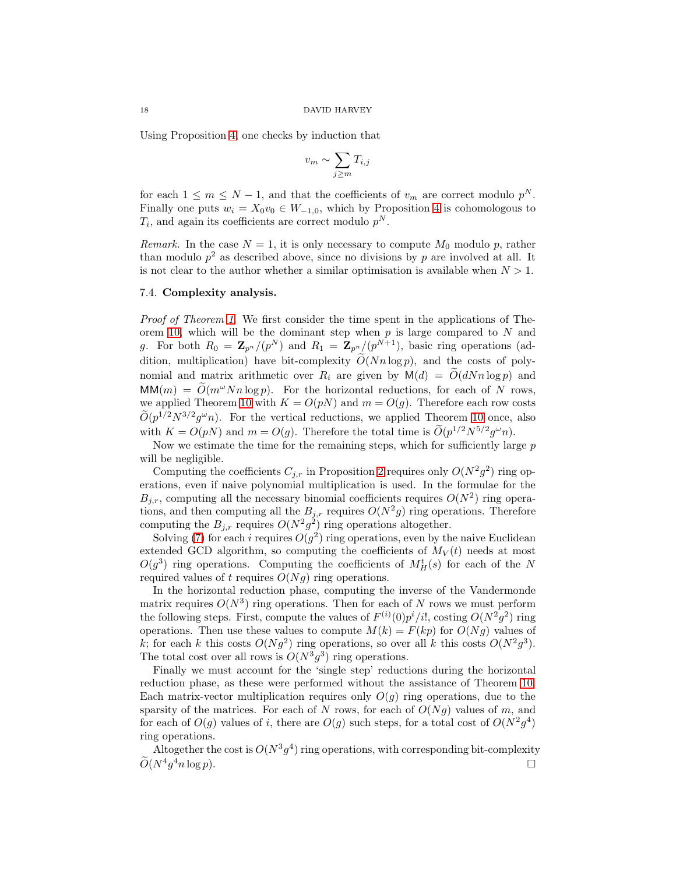Using Proposition [4,](#page-6-3) one checks by induction that

$$
v_m \sim \sum_{j \ge m} T_{i,j}
$$

for each  $1 \leq m \leq N-1$ , and that the coefficients of  $v_m$  are correct modulo  $p^N$ . Finally one puts  $w_i = X_0v_0 \in W_{-1,0}$ , which by Proposition [4](#page-6-3) is cohomologous to  $T_i$ , and again its coefficients are correct modulo  $p^N$ .

Remark. In the case  $N = 1$ , it is only necessary to compute  $M_0$  modulo p, rather than modulo  $p^2$  as described above, since no divisions by p are involved at all. It is not clear to the author whether a similar optimisation is available when  $N > 1$ .

## 7.4. Complexity analysis.

Proof of Theorem [1.](#page-0-1) We first consider the time spent in the applications of The-orem [10,](#page-9-2) which will be the dominant step when  $p$  is large compared to  $N$  and g. For both  $R_0 = \mathbb{Z}_{p^n}/(p^N)$  and  $R_1 = \mathbb{Z}_{p^n}/(p^{N+1})$ , basic ring operations (addition, multiplication) have bit-complexity  $\tilde{O}(Nn \log p)$ , and the costs of polynomial and matrix arithmetic over  $R_i$  are given by  $\mathsf{M}(d) = \mathcal{O}(dNn \log p)$  and  $MM(m) = \tilde{O}(m^{\omega}Nn \log p)$ . For the horizontal reductions, for each of N rows, we applied Theorem [10](#page-9-2) with  $K = O(pN)$  and  $m = O(q)$ . Therefore each row costs  $\tilde{O}(p^{1/2}N^{3/2}g^{\omega}n)$ . For the vertical reductions, we applied Theorem [10](#page-9-2) once, also with  $K = O(pN)$  and  $m = O(g)$ . Therefore the total time is  $O(p^{1/2}N^{5/2}g^{\omega}n)$ .

Now we estimate the time for the remaining steps, which for sufficiently large  $p$ will be negligible.

Computing the coefficients  $C_{j,r}$  in Proposition [2](#page-4-3) requires only  $O(N^2g^2)$  ring operations, even if naive polynomial multiplication is used. In the formulae for the  $B_{j,r}$ , computing all the necessary binomial coefficients requires  $O(N^2)$  ring operations, and then computing all the  $B_{j,r}$  requires  $O(N^2g)$  ring operations. Therefore computing the  $B_{j,r}$  requires  $O(N^2g^2)$  ring operations altogether.

Solving [\(7\)](#page-6-1) for each i requires  $O(g^2)$  ring operations, even by the naive Euclidean extended GCD algorithm, so computing the coefficients of  $M_V(t)$  needs at most  $O(g^3)$  ring operations. Computing the coefficients of  $M_H^t(s)$  for each of the N required values of t requires  $O(Ng)$  ring operations.

In the horizontal reduction phase, computing the inverse of the Vandermonde matrix requires  $O(N^3)$  ring operations. Then for each of N rows we must perform the following steps. First, compute the values of  $F^{(i)}(0)p^i/i!$ , costing  $O(N^2g^2)$  ring operations. Then use these values to compute  $M(k) = F(kp)$  for  $O(Ng)$  values of k; for each k this costs  $O(Ng^2)$  ring operations, so over all k this costs  $O(N^2g^3)$ . The total cost over all rows is  $O(N^3 g^3)$  ring operations.

Finally we must account for the 'single step' reductions during the horizontal reduction phase, as these were performed without the assistance of Theorem [10.](#page-9-2) Each matrix-vector multiplication requires only  $O(g)$  ring operations, due to the sparsity of the matrices. For each of N rows, for each of  $O(Ng)$  values of m, and for each of  $O(g)$  values of i, there are  $O(g)$  such steps, for a total cost of  $O(N^2g^4)$ ring operations.

Altogether the cost is  $O(N^3g^4)$  ring operations, with corresponding bit-complexity  $\widetilde{O}(N^4g)$  $\Box$ <sup>4</sup>n log p).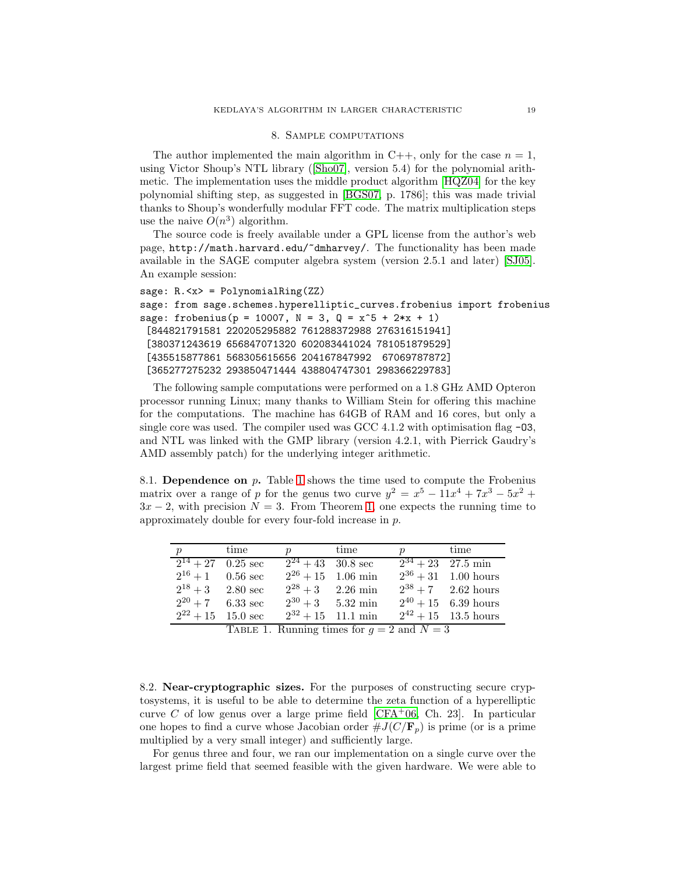## 8. Sample computations

<span id="page-18-0"></span>The author implemented the main algorithm in C++, only for the case  $n = 1$ , using Victor Shoup's NTL library ([\[Sho07\]](#page-20-9), version 5.4) for the polynomial arithmetic. The implementation uses the middle product algorithm [\[HQZ04\]](#page-20-10) for the key polynomial shifting step, as suggested in [\[BGS07,](#page-20-6) p. 1786]; this was made trivial thanks to Shoup's wonderfully modular FFT code. The matrix multiplication steps use the naive  $O(n^3)$  algorithm.

The source code is freely available under a GPL license from the author's web page, http://math.harvard.edu/~dmharvey/. The functionality has been made available in the SAGE computer algebra system (version 2.5.1 and later) [\[SJ05\]](#page-20-11). An example session:

```
sage: R.<x> = PolynomialRing(ZZ)
sage: from sage.schemes.hyperelliptic_curves.frobenius import frobenius
sage: frobenius(p = 10007, N = 3, Q = x^5 + 2*x + 1)
 [844821791581 220205295882 761288372988 276316151941]
 [380371243619 656847071320 602083441024 781051879529]
 [435515877861 568305615656 204167847992 67069787872]
 [365277275232 293850471444 438804747301 298366229783]
```
The following sample computations were performed on a 1.8 GHz AMD Opteron processor running Linux; many thanks to William Stein for offering this machine for the computations. The machine has 64GB of RAM and 16 cores, but only a single core was used. The compiler used was  $\text{GCC } 4.1.2$  with optimisation flag  $-03$ , and NTL was linked with the GMP library (version 4.2.1, with Pierrick Gaudry's AMD assembly patch) for the underlying integer arithmetic.

8.1. Dependence on  $p$ . Table [1](#page-18-1) shows the time used to compute the Frobenius matrix over a range of p for the genus two curve  $y^2 = x^5 - 11x^4 + 7x^3 - 5x^2 +$  $3x - 2$ , with precision  $N = 3$ . From Theorem [1,](#page-0-1) one expects the running time to approximately double for every four-fold increase in p.

| $\mathcal{p}$               | time                   | <i>v</i> time               |                        | $p$ time |                             |
|-----------------------------|------------------------|-----------------------------|------------------------|----------|-----------------------------|
| $\sqrt{2^{14}+27}$ 0.25 sec |                        | $\sqrt{2^{24}+43}$ 30.8 sec |                        |          | $\sqrt{2^{34}+23}$ 27.5 min |
|                             | $2^{16}+1$ 0.56 sec    |                             | $2^{26} + 15$ 1.06 min |          | $2^{36} + 31$ 1.00 hours    |
|                             | $2^{18}+3$ 2.80 sec    |                             | $2^{28}+3$ 2.26 min    |          | $2^{38} + 7$ 2.62 hours     |
|                             | $2^{20} + 7$ 6.33 sec  |                             | $2^{30} + 3$ 5.32 min  |          | $2^{40} + 15$ 6.39 hours    |
|                             | $2^{22} + 15$ 15.0 sec |                             | $2^{32} + 15$ 11.1 min |          | $2^{42} + 15$ 13.5 hours    |

<span id="page-18-1"></span>TABLE 1. Running times for  $g = 2$  and  $N = 3$ 

8.2. Near-cryptographic sizes. For the purposes of constructing secure cryptosystems, it is useful to be able to determine the zeta function of a hyperelliptic curve C of low genus over a large prime field  $[CFA<sup>+</sup>06, Ch. 23]$ . In particular one hopes to find a curve whose Jacobian order  $\#J(C/\mathbf{F}_p)$  is prime (or is a prime multiplied by a very small integer) and sufficiently large.

For genus three and four, we ran our implementation on a single curve over the largest prime field that seemed feasible with the given hardware. We were able to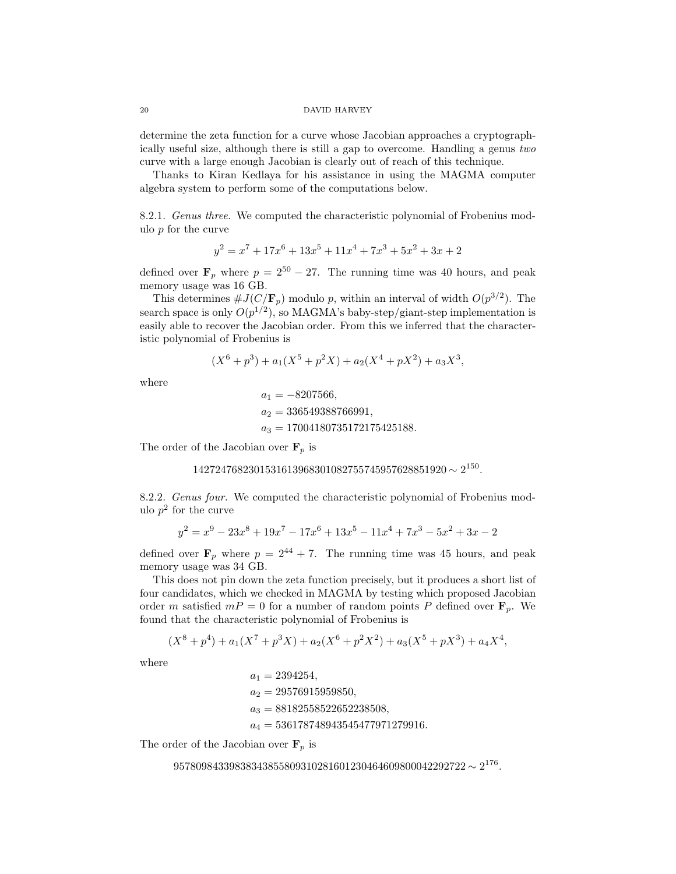determine the zeta function for a curve whose Jacobian approaches a cryptographically useful size, although there is still a gap to overcome. Handling a genus two curve with a large enough Jacobian is clearly out of reach of this technique.

Thanks to Kiran Kedlaya for his assistance in using the MAGMA computer algebra system to perform some of the computations below.

8.2.1. Genus three. We computed the characteristic polynomial of Frobenius modulo  $p$  for the curve

$$
y^2 = x^7 + 17x^6 + 13x^5 + 11x^4 + 7x^3 + 5x^2 + 3x + 2
$$

defined over  $\mathbf{F}_p$  where  $p = 2^{50} - 27$ . The running time was 40 hours, and peak memory usage was 16 GB.

This determines  $\#J(C/\mathbf{F}_p)$  modulo p, within an interval of width  $O(p^{3/2})$ . The search space is only  $O(p^{1/2})$ , so MAGMA's baby-step/giant-step implementation is easily able to recover the Jacobian order. From this we inferred that the characteristic polynomial of Frobenius is

$$
(X6 + p3) + a1(X5 + p2X) + a2(X4 + pX2) + a3X3,
$$

where

$$
a_1 = -8207566,
$$
  
\n
$$
a_2 = 336549388766991,
$$
  
\n
$$
a_3 = 17004180735172175425188.
$$

The order of the Jacobian over  $\mathbf{F}_p$  is

$$
1427247682301531613968301082755745957628851920 \sim 2^{150}.
$$

8.2.2. Genus four. We computed the characteristic polynomial of Frobenius modulo  $p^2$  for the curve

$$
y^{2} = x^{9} - 23x^{8} + 19x^{7} - 17x^{6} + 13x^{5} - 11x^{4} + 7x^{3} - 5x^{2} + 3x - 2
$$

defined over  $\mathbf{F}_p$  where  $p = 2^{44} + 7$ . The running time was 45 hours, and peak memory usage was 34 GB.

This does not pin down the zeta function precisely, but it produces a short list of four candidates, which we checked in MAGMA by testing which proposed Jacobian order m satisfied  $mP = 0$  for a number of random points P defined over  $\mathbf{F}_p$ . We found that the characteristic polynomial of Frobenius is

$$
(X8 + p4) + a1(X7 + p3X) + a2(X6 + p2X2) + a3(X5 + pX3) + a4X4,
$$

where

$$
a_1 = 2394254,
$$
  
\n
$$
a_2 = 29576915959850,
$$
  
\n
$$
a_3 = 88182558522652238508,
$$
  
\n
$$
a_4 = 536178748943545477971279916.
$$

The order of the Jacobian over  $\mathbf{F}_p$  is

$$
95780984339838343855809310281601230464609800042292722 \sim 2^{176}.
$$